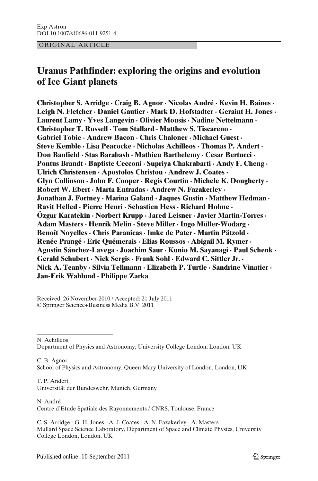#### ORIGINAL ARTICLE

# **Uranus Pathfinder: exploring the origins and evolution of Ice Giant planets**

**Christopher S. Arridge · Craig B. Agnor · Nicolas André · Kevin H. Baines · Leigh N. Fletcher · Daniel Gautier · Mark D. Hofstadter · Geraint H. Jones · Laurent Lamy · Yves Langevin · Olivier Mousis · Nadine Nettelmann · Christopher T. Russell · Tom Stallard · Matthew S. Tiscareno · Gabriel Tobie · Andrew Bacon · Chris Chaloner · Michael Guest · Steve Kemble · Lisa Peacocke · Nicholas Achilleos · Thomas P. Andert · Don Banfield · Stas Barabash · Mathieu Barthelemy · Cesar Bertucci · Pontus Brandt · Baptiste Cecconi · Supriya Chakrabarti · Andy F. Cheng · Ulrich Christensen · Apostolos Christou · Andrew J. Coates · Glyn Collinson · John F. Cooper · Regis Courtin · Michele K. Dougherty · Robert W. Ebert · Marta Entradas · Andrew N. Fazakerley · Jonathan J. Fortney · Marina Galand · Jaques Gustin · Matthew Hedman · Ravit Helled · Pierre Henri · Sebastien Hess · Richard Holme · Özgur Karatekin · Norbert Krupp · Jared Leisner · Javier Martin-Torres · Adam Masters · Henrik Melin · Steve Miller · Ingo Müller-Wodarg · Benoît Noyelles · Chris Paranicas · Imke de Pater · Martin Pätzold · Renée Prangé · Eric Quémerais · Elias Roussos · Abigail M. Rymer · Agustin Sánchez-Lavega · Joachim Saur · Kunio M. Sayanagi · Paul Schenk · Gerald Schubert · Nick Sergis · Frank Sohl · Edward C. Sittler Jr. · Nick A. Teanby · Silvia Tellmann · Elizabeth P. Turtle · Sandrine Vinatier · Jan-Erik Wahlund · Philippe Zarka**

Received: 26 November 2010 / Accepted: 21 July 2011 © Springer Science+Business Media B.V. 2011

N. Achilleos

Department of Physics and Astronomy, University College London, London, UK

C. B. Agnor School of Physics and Astronomy, Queen Mary University of London, London, UK

T. P. Andert Universität der Bundeswehr, Munich, Germany

N. André Centre d'Etude Spatiale des Rayonnements / CNRS, Toulouse, France

C. S. Arridge · G. H. Jones · A. J. Coates · A. N. Fazakerley · A. Masters Mullard Space Science Laboratory, Department of Space and Climate Physics, University College London, London, UK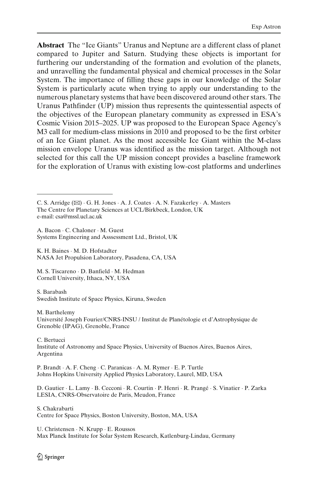**Abstract** The "Ice Giants" Uranus and Neptune are a different class of planet compared to Jupiter and Saturn. Studying these objects is important for furthering our understanding of the formation and evolution of the planets, and unravelling the fundamental physical and chemical processes in the Solar System. The importance of filling these gaps in our knowledge of the Solar System is particularly acute when trying to apply our understanding to the numerous planetary systems that have been discovered around other stars. The Uranus Pathfinder (UP) mission thus represents the quintessential aspects of the objectives of the European planetary community as expressed in ESA's Cosmic Vision 2015–2025. UP was proposed to the European Space Agency's M3 call for medium-class missions in 2010 and proposed to be the first orbiter of an Ice Giant planet. As the most accessible Ice Giant within the M-class mission envelope Uranus was identified as the mission target. Although not selected for this call the UP mission concept provides a baseline framework for the exploration of Uranus with existing low-cost platforms and underlines

C. S. Arridge (B) · G. H. Jones · A. J. Coates · A. N. Fazakerley · A. Masters The Centre for Planetary Sciences at UCL/Birkbeck, London, UK e-mail: csa@mssl.ucl.ac.uk

A. Bacon · C. Chaloner · M. Guest Systems Engineering and Asssessment Ltd., Bristol, UK

K. H. Baines · M. D. Hofstadter NASA Jet Propulsion Laboratory, Pasadena, CA, USA

M. S. Tiscareno · D. Banfield · M. Hedman Cornell University, Ithaca, NY, USA

S. Barabash Swedish Institute of Space Physics, Kiruna, Sweden

M. Barthelemy Université Joseph Fourier/CNRS-INSU / Institut de Planétologie et d'Astrophysique de Grenoble (IPAG), Grenoble, France

C. Bertucci Institute of Astronomy and Space Physics, University of Buenos Aires, Buenos Aires, Argentina

P. Brandt · A. F. Cheng · C. Paranicas · A. M. Rymer · E. P. Turtle Johns Hopkins University Applied Physics Laboratory, Laurel, MD, USA

D. Gautier · L. Lamy · B. Cecconi · R. Courtin · P. Henri · R. Prangé · S. Vinatier · P. Zarka LESIA, CNRS-Observatoire de Paris, Meudon, France

S. Chakrabarti Centre for Space Physics, Boston University, Boston, MA, USA

U. Christensen · N. Krupp · E. Roussos Max Planck Institute for Solar System Research, Katlenburg-Lindau, Germany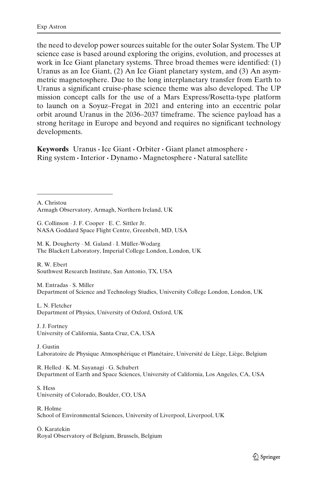the need to develop power sources suitable for the outer Solar System. The UP science case is based around exploring the origins, evolution, and processes at work in Ice Giant planetary systems. Three broad themes were identified: (1) Uranus as an Ice Giant, (2) An Ice Giant planetary system, and (3) An asymmetric magnetosphere. Due to the long interplanetary transfer from Earth to Uranus a significant cruise-phase science theme was also developed. The UP mission concept calls for the use of a Mars Express/Rosetta-type platform to launch on a Soyuz–Fregat in 2021 and entering into an eccentric polar orbit around Uranus in the 2036–2037 timeframe. The science payload has a strong heritage in Europe and beyond and requires no significant technology developments.

**Keywords** Uranus **·** Ice Giant **·** Orbiter **·** Giant planet atmosphere **·** Ring system **·** Interior **·** Dynamo **·** Magnetosphere **·** Natural satellite

A. Christou Armagh Observatory, Armagh, Northern Ireland, UK

M. K. Dougherty · M. Galand · I. Müller-Wodarg The Blackett Laboratory, Imperial College London, London, UK

R. W. Ebert Southwest Research Institute, San Antonio, TX, USA

M. Entradas · S. Miller Department of Science and Technology Studies, University College London, London, UK

L. N. Fletcher Department of Physics, University of Oxford, Oxford, UK

J. J. Fortney University of California, Santa Cruz, CA, USA

J. Gustin Laboratoire de Physique Atmosphérique et Planétaire, Université de Liège, Liège, Belgium

R. Helled · K. M. Sayanagi · G. Schubert Department of Earth and Space Sciences, University of California, Los Angeles, CA, USA

S. Hess University of Colorado, Boulder, CO, USA

R. Holme School of Environmental Sciences, University of Liverpool, Liverpool, UK

Ö. Karatekin Royal Observatory of Belgium, Brussels, Belgium

G. Collinson · J. F. Cooper · E. C. Sittler Jr. NASA Goddard Space Flight Centre, Greenbelt, MD, USA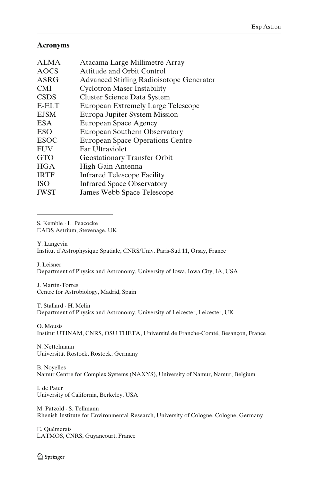### **Acronyms**

| ALMA        | Atacama Large Millimetre Array                  |
|-------------|-------------------------------------------------|
| <b>AOCS</b> | <b>Attitude and Orbit Control</b>               |
| ASRG        | <b>Advanced Stirling Radioisotope Generator</b> |
| <b>CMI</b>  | <b>Cyclotron Maser Instability</b>              |
| <b>CSDS</b> | <b>Cluster Science Data System</b>              |
| E-ELT       | European Extremely Large Telescope              |
| EJSM        | Europa Jupiter System Mission                   |
| ESA         | European Space Agency                           |
| ESO         | <b>European Southern Observatory</b>            |
| <b>ESOC</b> | European Space Operations Centre                |
| FUV         | Far Ultraviolet                                 |
| <b>GTO</b>  | <b>Geostationary Transfer Orbit</b>             |
| HGA         | High Gain Antenna                               |
| <b>IRTF</b> | <b>Infrared Telescope Facility</b>              |
| ISO         | <b>Infrared Space Observatory</b>               |
| JWST        | James Webb Space Telescope                      |
|             |                                                 |

S. Kemble · L. Peacocke EADS Astrium, Stevenage, UK

Y. Langevin Institut d'Astrophysique Spatiale, CNRS/Univ. Paris-Sud 11, Orsay, France

J. Leisner Department of Physics and Astronomy, University of Iowa, Iowa City, IA, USA

J. Martin-Torres Centre for Astrobiology, Madrid, Spain

T. Stallard · H. Melin Department of Physics and Astronomy, University of Leicester, Leicester, UK

O. Mousis Institut UTINAM, CNRS, OSU THETA, Université de Franche-Comté, Besançon, France

N. Nettelmann Universität Rostock, Rostock, Germany

B. Noyelles Namur Centre for Complex Systems (NAXYS), University of Namur, Namur, Belgium

I. de Pater University of California, Berkeley, USA

M. Pätzold · S. Tellmann Rhenish Institute for Environmental Research, University of Cologne, Cologne, Germany

E. Quémerais LATMOS, CNRS, Guyancourt, France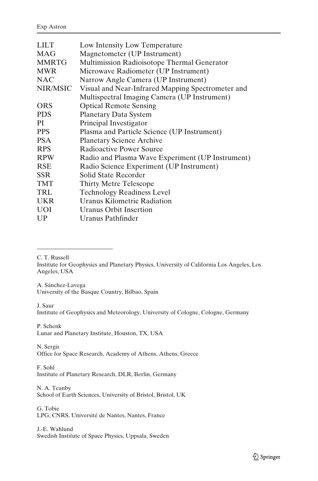| <b>LILT</b> | Low Intensity Low Temperature                     |
|-------------|---------------------------------------------------|
| <b>MAG</b>  | Magnetometer (UP Instrument)                      |
| MMRTG       | Multimission Radioisotope Thermal Generator       |
| <b>MWR</b>  | Microwave Radiometer (UP Instrument)              |
| <b>NAC</b>  | Narrow Angle Camera (UP Instrument)               |
| NIR/MSIC    | Visual and Near-Infrared Mapping Spectrometer and |
|             | Multispectral Imaging Camera (UP Instrument)      |
| <b>ORS</b>  | <b>Optical Remote Sensing</b>                     |
| <b>PDS</b>  | <b>Planetary Data System</b>                      |
| PI.         | Principal Investigator                            |
| <b>PPS</b>  | Plasma and Particle Science (UP Instrument)       |
| <b>PSA</b>  | <b>Planetary Science Archive</b>                  |
| <b>RPS</b>  | Radioactive Power Source                          |
| <b>RPW</b>  | Radio and Plasma Wave Experiment (UP Instrument)  |
| <b>RSE</b>  | Radio Science Experiment (UP Instrument)          |
| <b>SSR</b>  | Solid State Recorder                              |
| TMT         | Thirty Metre Telescope                            |
| <b>TRL</b>  | <b>Technology Readiness Level</b>                 |
| <b>UKR</b>  | Uranus Kilometric Radiation                       |
| <b>UOI</b>  | Uranus Orbit Insertion                            |
| UP          | Uranus Pathfinder                                 |

C. T. Russell

Institute for Geophysics and Planetary Physics, University of California Los Angeles, Los Angeles, USA

A. Sánchez-Lavega University of the Basque Country, Bilbao, Spain

J. Saur

Institute of Geophysics and Meteorology, University of Cologne, Cologne, Germany

P. Schenk Lunar and Planetary Institute, Houston, TX, USA

N. Sergis Office for Space Research, Academy of Athens, Athens, Greece

F. Sohl Institute of Planetary Research, DLR, Berlin, Germany

N. A. Teanby School of Earth Sciences, University of Bristol, Bristol, UK

G. Tobie LPG, CNRS, Université de Nantes, Nantes, France

J.-E. Wahlund Swedish Institute of Space Physics, Uppsala, Sweden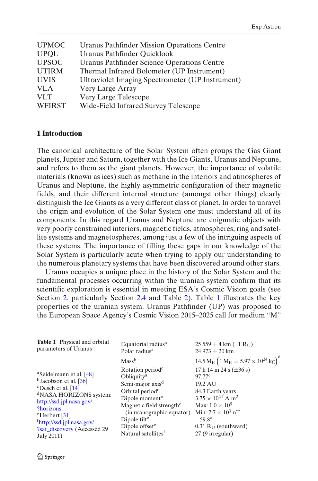| <b>UPMOC</b>  | <b>Uranus Pathfinder Mission Operations Centre</b> |
|---------------|----------------------------------------------------|
| <b>UPQL</b>   | Uranus Pathfinder Quicklook                        |
| <b>UPSOC</b>  | <b>Uranus Pathfinder Science Operations Centre</b> |
| <b>UTIRM</b>  | Thermal Infrared Bolometer (UP Instrument)         |
| <b>UVIS</b>   | Ultraviolet Imaging Spectrometer (UP Instrument)   |
| <b>VLA</b>    | Very Large Array                                   |
| <b>VLT</b>    | Very Large Telescope                               |
| <b>WFIRST</b> | Wide-Field Infrared Survey Telescope               |
|               |                                                    |

#### **1 Introduction**

The canonical architecture of the Solar System often groups the Gas Giant planets, Jupiter and Saturn, together with the Ice Giants, Uranus and Neptune, and refers to them as the giant planets. However, the importance of volatile materials (known as ices) such as methane in the interiors and atmospheres of Uranus and Neptune, the highly asymmetric configuration of their magnetic fields, and their different internal structure (amongst other things) clearly distinguish the Ice Giants as a very different class of planet. In order to unravel the origin and evolution of the Solar System one must understand all of its components. In this regard Uranus and Neptune are enigmatic objects with very poorly constrained interiors, magnetic fields, atmospheres, ring and satellite systems and magnetospheres, among just a few of the intriguing aspects of these systems. The importance of filling these gaps in our knowledge of the Solar System is particularly acute when trying to apply our understanding to the numerous planetary systems that have been discovered around other stars.

Uranus occupies a unique place in the history of the Solar System and the fundamental processes occurring within the uranian system confirm that its scientific exploration is essential in meeting ESA's Cosmic Vision goals (see Section [2,](#page-7-0) particularly Section [2.4](#page-17-0) and Table [2\)](#page-18-0). Table 1 illustrates the key properties of the uranian system. Uranus Pathfinder (UP) was proposed to the European Space Agency's Cosmic Vision 2015–2025 call for medium "M"

| <b>Table 1</b> Physical and orbital                            | Equatorial radius <sup>a</sup>       | $25\,559 \pm 4\,\mathrm{km}$ (=1 R <sub>U</sub> )                                |
|----------------------------------------------------------------|--------------------------------------|----------------------------------------------------------------------------------|
| parameters of Uranus                                           | Polar radius <sup>a</sup>            | $24973 \pm 20$ km                                                                |
|                                                                | Mass <sup>b</sup>                    | $14.5 M_{\rm E} \left( 1 M_{\rm E} = 5.97 \times 10^{24} \, \text{kg} \right)^d$ |
|                                                                | Rotation period <sup>c</sup>         | 17 h 14 m 24 s $(\pm 36 \text{ s})$                                              |
| <sup>a</sup> Seidelmann et al. [48]                            | Obliquity <sup>a</sup>               | $97.77^{\circ}$                                                                  |
| <sup>b</sup> Jacobson et al. [36]                              | Semi-major axis <sup>d</sup>         | 19.2 AU                                                                          |
| <sup>c</sup> Desch et al. $[14]$                               | Orbital period <sup>d</sup>          | 84.3 Earth years                                                                 |
| <sup>d</sup> NASA HORIZONS system:<br>http://ssd.jpl.nasa.gov/ | Dipole moment <sup>e</sup>           | $3.75 \times 10^{24}$ A m <sup>2</sup>                                           |
| ?horizons                                                      | Magnetic field strength <sup>e</sup> | Max: $1.0 \times 10^5$                                                           |
| $e$ Herbert [31]                                               | (in uranographic equator)            | Min: $7.7 \times 10^3$ nT                                                        |
| <sup>f</sup> http://ssd.jpl.nasa.gov/                          | Dipole tilte                         | $-59.8^\circ$                                                                    |
| ?sat_discovery (Accessed 29)                                   | Dipole offset <sup>e</sup>           | $0.31$ R <sub>U</sub> (southward)                                                |
| July 2011)                                                     | Natural satellites <sup>t</sup>      | 27 (9 irregular)                                                                 |
|                                                                |                                      |                                                                                  |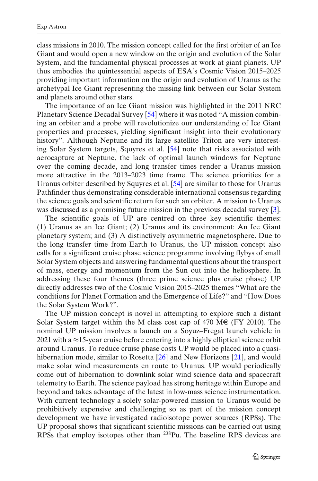class missions in 2010. The mission concept called for the first orbiter of an Ice Giant and would open a new window on the origin and evolution of the Solar System, and the fundamental physical processes at work at giant planets. UP thus embodies the quintessential aspects of ESA's Cosmic Vision 2015–2025 providing important information on the origin and evolution of Uranus as the archetypal Ice Giant representing the missing link between our Solar System and planets around other stars.

The importance of an Ice Giant mission was highlighted in the 2011 NRC Planetary Science Decadal Survey [\[54\]](#page-38-0) where it was noted "A mission combining an orbiter and a probe will revolutionize our understanding of Ice Giant properties and processes, yielding significant insight into their evolutionary history". Although Neptune and its large satellite Triton are very interesting Solar System targets, Squyres et al. [\[54\]](#page-38-0) note that risks associated with aerocapture at Neptune, the lack of optimal launch windows for Neptune over the coming decade, and long transfer times render a Uranus mission more attractive in the 2013–2023 time frame. The science priorities for a Uranus orbiter described by Squyres et al. [\[54](#page-38-0)] are similar to those for Uranus Pathfinder thus demonstrating considerable international consensus regarding the science goals and scientific return for such an orbiter. A mission to Uranus was discussed as a promising future mission in the previous decadal survey [\[3\]](#page-35-0).

The scientific goals of UP are centred on three key scientific themes: (1) Uranus as an Ice Giant; (2) Uranus and its environment: An Ice Giant planetary system; and (3) A distinctively asymmetric magnetosphere. Due to the long transfer time from Earth to Uranus, the UP mission concept also calls for a significant cruise phase science programme involving flybys of small Solar System objects and answering fundamental questions about the transport of mass, energy and momentum from the Sun out into the heliosphere. In addressing these four themes (three prime science plus cruise phase) UP directly addresses two of the Cosmic Vision 2015–2025 themes "What are the conditions for Planet Formation and the Emergence of Life?" and "How Does the Solar System Work?".

The UP mission concept is novel in attempting to explore such a distant Solar System target within the M class cost cap of 470  $M \in (FY 2010)$ . The nominal UP mission involves a launch on a Soyuz–Fregat launch vehicle in 2021 with a ≈15-year cruise before entering into a highly elliptical science orbit around Uranus. To reduce cruise phase costs UP would be placed into a quasi-hibernation mode, similar to Rosetta [\[26](#page-36-0)] and New Horizons [\[21\]](#page-36-0), and would make solar wind measurements en route to Uranus. UP would periodically come out of hibernation to downlink solar wind science data and spacecraft telemetry to Earth. The science payload has strong heritage within Europe and beyond and takes advantage of the latest in low-mass science instrumentation. With current technology a solely solar-powered mission to Uranus would be prohibitively expensive and challenging so as part of the mission concept development we have investigated radioisotope power sources (RPSs). The UP proposal shows that significant scientific missions can be carried out using RPSs that employ isotopes other than <sup>238</sup>Pu. The baseline RPS devices are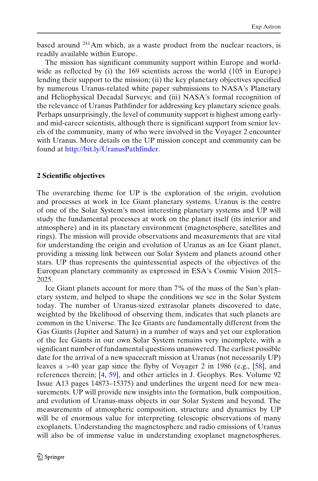<span id="page-7-0"></span>based around  $241$  Am which, as a waste product from the nuclear reactors, is readily available within Europe.

The mission has significant community support within Europe and worldwide as reflected by (i) the 169 scientists across the world (105 in Europe) lending their support to the mission; (ii) the key planetary objectives specified by numerous Uranus-related white paper submissions to NASA's Planetary and Heliophysical Decadal Surveys; and (iii) NASA's formal recognition of the relevance of Uranus Pathfinder for addressing key planetary science goals. Perhaps unsurprisingly, the level of community support is highest among earlyand mid-career scientists, although there is significant support from senior levels of the community, many of who were involved in the Voyager 2 encounter with Uranus. More details on the UP mission concept and community can be found at [http://bit.ly/UranusPathfinder.](http://bit.ly/UranusPathfinder)

#### **2 Scientific objectives**

The overarching theme for UP is the exploration of the origin, evolution and processes at work in Ice Giant planetary systems. Uranus is the centre of one of the Solar System's most interesting planetary systems and UP will study the fundamental processes at work on the planet itself (its interior and atmosphere) and in its planetary environment (magnetosphere, satellites and rings). The mission will provide observations and measurements that are vital for understanding the origin and evolution of Uranus as an Ice Giant planet, providing a missing link between our Solar System and planets around other stars. UP thus represents the quintessential aspects of the objectives of the European planetary community as expressed in ESA's Cosmic Vision 2015– 2025.

Ice Giant planets account for more than 7% of the mass of the Sun's planetary system, and helped to shape the conditions we see in the Solar System today. The number of Uranus-sized extrasolar planets discovered to date, weighted by the likelihood of observing them, indicates that such planets are common in the Universe. The Ice Giants are fundamentally different from the Gas Giants (Jupiter and Saturn) in a number of ways and yet our exploration of the Ice Giants in our own Solar System remains very incomplete, with a significant number of fundamental questions unanswered. The earliest possible date for the arrival of a new spacecraft mission at Uranus (not necessarily UP) leaves a  $>40$  year gap since the flyby of Voyager 2 in 1986 (e.g., [\[58](#page-38-0)], and references therein; [\[4,](#page-36-0) [59\]](#page-38-0), and other articles in J. Geophys. Res. Volume 92 Issue A13 pages 14873–15375) and underlines the urgent need for new measurements. UP will provide new insights into the formation, bulk composition, and evolution of Uranus-mass objects in our Solar System and beyond. The measurements of atmospheric composition, structure and dynamics by UP will be of enormous value for interpreting telescopic observations of many exoplanets. Understanding the magnetosphere and radio emissions of Uranus will also be of immense value in understanding exoplanet magnetospheres.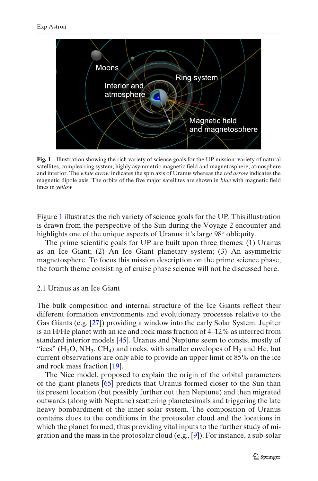

**Fig. 1** Illustration showing the rich variety of science goals for the UP mission: variety of natural satellites, complex ring system, highly asymmetric magnetic field and magnetosphere, atmosphere and interior. The *white arrow* indicates the spin axis of Uranus whereas the *red arrow* indicates the magnetic dipole axis. The orbits of the five major satellites are shown in *blue* with magnetic field lines in *yellow*

Figure 1 illustrates the rich variety of science goals for the UP. This illustration is drawn from the perspective of the Sun during the Voyage 2 encounter and highlights one of the unique aspects of Uranus: it's large 98° obliquity.

The prime scientific goals for UP are built upon three themes: (1) Uranus as an Ice Giant; (2) An Ice Giant planetary system; (3) An asymmetric magnetosphere. To focus this mission description on the prime science phase, the fourth theme consisting of cruise phase science will not be discussed here.

#### 2.1 Uranus as an Ice Giant

The bulk composition and internal structure of the Ice Giants reflect their different formation environments and evolutionary processes relative to the Gas Giants (e.g. [\[27](#page-36-0)]) providing a window into the early Solar System. Jupiter is an H/He planet with an ice and rock mass fraction of 4–12% as inferred from standard interior models [\[45\]](#page-37-0). Uranus and Neptune seem to consist mostly of "ices"  $(H_2O, NH_3, CH_4)$  and rocks, with smaller envelopes of  $H_2$  and He, but current observations are only able to provide an upper limit of 85% on the ice and rock mass fraction [\[19\]](#page-36-0).

The Nice model, proposed to explain the origin of the orbital parameters of the giant planets [\[65\]](#page-38-0) predicts that Uranus formed closer to the Sun than its present location (but possibly further out than Neptune) and then migrated outwards (along with Neptune) scattering planetesimals and triggering the late heavy bombardment of the inner solar system. The composition of Uranus contains clues to the conditions in the protosolar cloud and the locations in which the planet formed, thus providing vital inputs to the further study of migration and the mass in the protosolar cloud (e.g., [\[9](#page-36-0)]). For instance, a sub-solar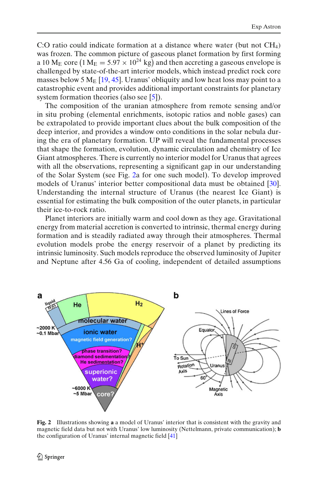<span id="page-9-0"></span>C:O ratio could indicate formation at a distance where water (but not  $CH<sub>4</sub>$ ) was frozen. The common picture of gaseous planet formation by first forming a 10  $M_E$  core  $(1 M_E = 5.97 \times 10^{24} \text{ kg})$  and then accreting a gaseous envelope is challenged by state-of-the-art interior models, which instead predict rock core masses below 5  $M_E$  [\[19,](#page-36-0) [45](#page-37-0)]. Uranus' obliquity and low heat loss may point to a catastrophic event and provides additional important constraints for planetary system formation theories (also see [\[5\]](#page-36-0)).

The composition of the uranian atmosphere from remote sensing and/or in situ probing (elemental enrichments, isotopic ratios and noble gases) can be extrapolated to provide important clues about the bulk composition of the deep interior, and provides a window onto conditions in the solar nebula during the era of planetary formation. UP will reveal the fundamental processes that shape the formation, evolution, dynamic circulation and chemistry of Ice Giant atmospheres. There is currently no interior model for Uranus that agrees with all the observations, representing a significant gap in our understanding of the Solar System (see Fig. 2a for one such model). To develop improved models of Uranus' interior better compositional data must be obtained [\[30\]](#page-37-0). Understanding the internal structure of Uranus (the nearest Ice Giant) is essential for estimating the bulk composition of the outer planets, in particular their ice-to-rock ratio.

Planet interiors are initially warm and cool down as they age. Gravitational energy from material accretion is converted to intrinsic, thermal energy during formation and is steadily radiated away through their atmospheres. Thermal evolution models probe the energy reservoir of a planet by predicting its intrinsic luminosity. Such models reproduce the observed luminosity of Jupiter and Neptune after 4.56 Ga of cooling, independent of detailed assumptions



**Fig. 2** Illustrations showing **a** a model of Uranus' interior that is consistent with the gravity and magnetic field data but not with Uranus' low luminosity (Nettelmann, private communication); **b** the configuration of Uranus' internal magnetic field [\[41\]](#page-37-0)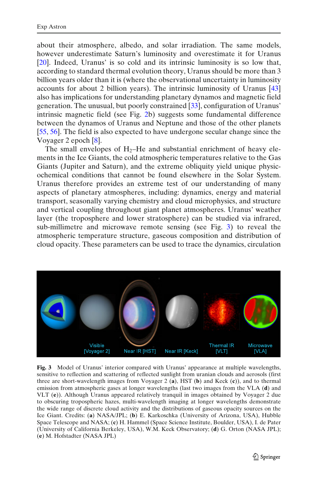<span id="page-10-0"></span>about their atmosphere, albedo, and solar irradiation. The same models, however underestimate Saturn's luminosity and overestimate it for Uranus [\[20](#page-36-0)]. Indeed, Uranus' is so cold and its intrinsic luminosity is so low that, according to standard thermal evolution theory, Uranus should be more than 3 billion years older than it is (where the observational uncertainty in luminosity accounts for about 2 billion years). The intrinsic luminosity of Uranus [\[43](#page-37-0)] also has implications for understanding planetary dynamos and magnetic field generation. The unusual, but poorly constrained [\[33\]](#page-37-0), configuration of Uranus' intrinsic magnetic field (see Fig. [2b](#page-9-0)) suggests some fundamental difference between the dynamos of Uranus and Neptune and those of the other planets [\[55](#page-38-0), [56](#page-38-0)]. The field is also expected to have undergone secular change since the Voyager 2 epoch [\[8](#page-36-0)].

The small envelopes of  $H_2$ –He and substantial enrichment of heavy elements in the Ice Giants, the cold atmospheric temperatures relative to the Gas Giants (Jupiter and Saturn), and the extreme obliquity yield unique physicochemical conditions that cannot be found elsewhere in the Solar System. Uranus therefore provides an extreme test of our understanding of many aspects of planetary atmospheres, including: dynamics, energy and material transport, seasonally varying chemistry and cloud microphysics, and structure and vertical coupling throughout giant planet atmospheres. Uranus' weather layer (the troposphere and lower stratosphere) can be studied via infrared, sub-millimetre and microwave remote sensing (see Fig. 3) to reveal the atmospheric temperature structure, gaseous composition and distribution of cloud opacity. These parameters can be used to trace the dynamics, circulation



**Fig. 3** Model of Uranus' interior compared with Uranus' appearance at multiple wavelengths, sensitive to reflection and scattering of reflected sunlight from uranian clouds and aerosols (first three are short-wavelength images from Voyager 2 (**a**), HST (**b**) and Keck (**c**)), and to thermal emission from atmospheric gases at longer wavelengths (last two images from the VLA (**d**) and VLT (**e**)). Although Uranus appeared relatively tranquil in images obtained by Voyager 2 due to obscuring tropospheric hazes, multi-wavelength imaging at longer wavelengths demonstrate the wide range of discrete cloud activity and the distributions of gaseous opacity sources on the Ice Giant. Credits: (**a**) NASA/JPL; (**b**) E. Karkoschka (University of Arizona, USA), Hubble Space Telescope and NASA; (**c**) H. Hammel (Space Science Institute, Boulder, USA), I. de Pater (University of California Berkeley, USA), W.M. Keck Observatory; (**d**) G. Orton (NASA JPL); (**e**) M. Hofstadter (NASA JPL)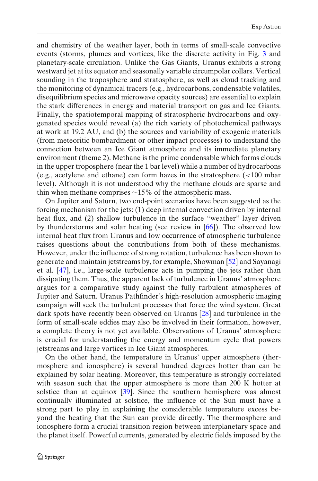and chemistry of the weather layer, both in terms of small-scale convective events (storms, plumes and vortices, like the discrete activity in Fig. [3](#page-10-0) and planetary-scale circulation. Unlike the Gas Giants, Uranus exhibits a strong westward jet at its equator and seasonally variable circumpolar collars. Vertical sounding in the troposphere and stratosphere, as well as cloud tracking and the monitoring of dynamical tracers (e.g., hydrocarbons, condensable volatiles, disequilibrium species and microwave opacity sources) are essential to explain the stark differences in energy and material transport on gas and Ice Giants. Finally, the spatiotemporal mapping of stratospheric hydrocarbons and oxygenated species would reveal (a) the rich variety of photochemical pathways at work at 19.2 AU, and (b) the sources and variability of exogenic materials (from meteoritic bombardment or other impact processes) to understand the connection between an Ice Giant atmosphere and its immediate planetary environment (theme 2). Methane is the prime condensable which forms clouds in the upper troposphere (near the 1 bar level) while a number of hydrocarbons (e.g., acetylene and ethane) can form hazes in the stratosphere  $\left($  <100 mbar level). Although it is not understood why the methane clouds are sparse and thin when methane comprises ∼15% of the atmospheric mass.

On Jupiter and Saturn, two end-point scenarios have been suggested as the forcing mechanism for the jets: (1) deep internal convection driven by internal heat flux, and (2) shallow turbulence in the surface "weather" layer driven by thunderstorms and solar heating (see review in [\[66](#page-38-0)]). The observed low internal heat flux from Uranus and low occurrence of atmospheric turbulence raises questions about the contributions from both of these mechanisms. However, under the influence of strong rotation, turbulence has been shown to generate and maintain jetstreams by, for example, Showman [\[52\]](#page-38-0) and Sayanagi et al. [\[47\]](#page-37-0), i.e., large-scale turbulence acts in pumping the jets rather than dissipating them. Thus, the apparent lack of turbulence in Uranus' atmosphere argues for a comparative study against the fully turbulent atmospheres of Jupiter and Saturn. Uranus Pathfinder's high-resolution atmospheric imaging campaign will seek the turbulent processes that force the wind system. Great dark spots have recently been observed on Uranus [\[28\]](#page-36-0) and turbulence in the form of small-scale eddies may also be involved in their formation, however, a complete theory is not yet available. Observations of Uranus' atmosphere is crucial for understanding the energy and momentum cycle that powers jetstreams and large vortices in Ice Giant atmospheres.

On the other hand, the temperature in Uranus' upper atmosphere (thermosphere and ionosphere) is several hundred degrees hotter than can be explained by solar heating. Moreover, this temperature is strongly correlated with season such that the upper atmosphere is more than 200 K hotter at solstice than at equinox [\[39\]](#page-37-0). Since the southern hemisphere was almost continually illuminated at solstice, the influence of the Sun must have a strong part to play in explaining the considerable temperature excess beyond the heating that the Sun can provide directly. The thermosphere and ionosphere form a crucial transition region between interplanetary space and the planet itself. Powerful currents, generated by electric fields imposed by the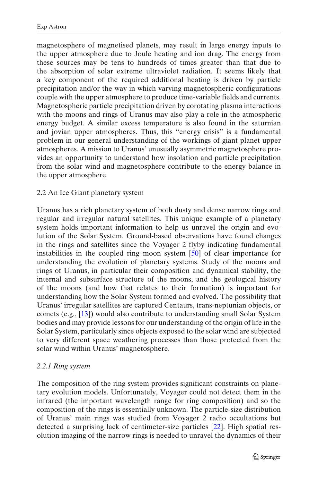magnetosphere of magnetised planets, may result in large energy inputs to the upper atmosphere due to Joule heating and ion drag. The energy from these sources may be tens to hundreds of times greater than that due to the absorption of solar extreme ultraviolet radiation. It seems likely that a key component of the required additional heating is driven by particle precipitation and/or the way in which varying magnetospheric configurations couple with the upper atmosphere to produce time-variable fields and currents. Magnetospheric particle precipitation driven by corotating plasma interactions with the moons and rings of Uranus may also play a role in the atmospheric energy budget. A similar excess temperature is also found in the saturnian and jovian upper atmospheres. Thus, this "energy crisis" is a fundamental problem in our general understanding of the workings of giant planet upper atmospheres. A mission to Uranus' unusually asymmetric magnetosphere provides an opportunity to understand how insolation and particle precipitation from the solar wind and magnetosphere contribute to the energy balance in the upper atmosphere.

### 2.2 An Ice Giant planetary system

Uranus has a rich planetary system of both dusty and dense narrow rings and regular and irregular natural satellites. This unique example of a planetary system holds important information to help us unravel the origin and evolution of the Solar System. Ground-based observations have found changes in the rings and satellites since the Voyager 2 flyby indicating fundamental instabilities in the coupled ring–moon system [\[50\]](#page-38-0) of clear importance for understanding the evolution of planetary systems. Study of the moons and rings of Uranus, in particular their composition and dynamical stability, the internal and subsurface structure of the moons, and the geological history of the moons (and how that relates to their formation) is important for understanding how the Solar System formed and evolved. The possibility that Uranus' irregular satellites are captured Centaurs, trans-neptunian objects, or comets (e.g., [\[13\]](#page-36-0)) would also contribute to understanding small Solar System bodies and may provide lessons for our understanding of the origin of life in the Solar System, particularly since objects exposed to the solar wind are subjected to very different space weathering processes than those protected from the solar wind within Uranus' magnetosphere.

### *2.2.1 Ring system*

The composition of the ring system provides significant constraints on planetary evolution models. Unfortunately, Voyager could not detect them in the infrared (the important wavelength range for ring composition) and so the composition of the rings is essentially unknown. The particle-size distribution of Uranus' main rings was studied from Voyager 2 radio occultations but detected a surprising lack of centimeter-size particles [\[22](#page-36-0)]. High spatial resolution imaging of the narrow rings is needed to unravel the dynamics of their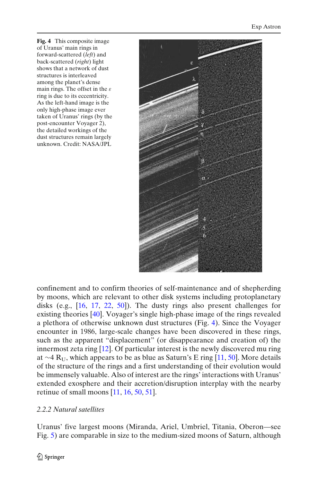**Fig. 4** This composite image of Uranus' main rings in forward-scattered (*left*) and back-scattered (*right*) light shows that a network of dust structures is interleaved among the planet's dense main rings. The offset in the  $\varepsilon$ ring is due to its eccentricity. As the left-hand image is the only high-phase image ever taken of Uranus' rings (by the post-encounter Voyager 2), the detailed workings of the dust structures remain largely unknown. Credit: NASA/JPL



confinement and to confirm theories of self-maintenance and of shepherding by moons, which are relevant to other disk systems including protoplanetary disks (e.g.,  $[16, 17, 22, 50]$  $[16, 17, 22, 50]$  $[16, 17, 22, 50]$  $[16, 17, 22, 50]$  $[16, 17, 22, 50]$  $[16, 17, 22, 50]$  $[16, 17, 22, 50]$ ). The dusty rings also present challenges for existing theories [\[40\]](#page-37-0). Voyager's single high-phase image of the rings revealed a plethora of otherwise unknown dust structures (Fig. 4). Since the Voyager encounter in 1986, large-scale changes have been discovered in these rings, such as the apparent "displacement" (or disappearance and creation of) the innermost zeta ring [\[12](#page-36-0)]. Of particular interest is the newly discovered mu ring at ∼4 R<sub>U</sub>, which appears to be as blue as Saturn's E ring [\[11](#page-36-0), [50](#page-38-0)]. More details of the structure of the rings and a first understanding of their evolution would be immensely valuable. Also of interest are the rings' interactions with Uranus' extended exosphere and their accretion/disruption interplay with the nearby retinue of small moons  $[11, 16, 50, 51]$  $[11, 16, 50, 51]$  $[11, 16, 50, 51]$  $[11, 16, 50, 51]$  $[11, 16, 50, 51]$  $[11, 16, 50, 51]$  $[11, 16, 50, 51]$  $[11, 16, 50, 51]$ .

# *2.2.2 Natural satellites*

Uranus' five largest moons (Miranda, Ariel, Umbriel, Titania, Oberon—see Fig. [5\)](#page-14-0) are comparable in size to the medium-sized moons of Saturn, although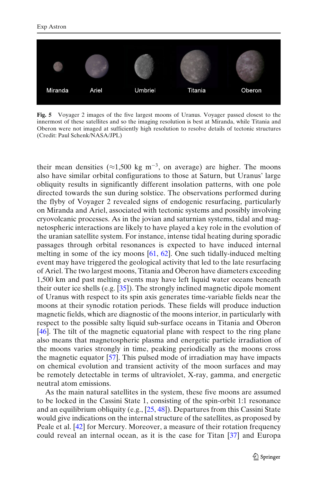<span id="page-14-0"></span>

**Fig. 5** Voyager 2 images of the five largest moons of Uranus. Voyager passed closest to the innermost of these satellites and so the imaging resolution is best at Miranda, while Titania and Oberon were not imaged at sufficiently high resolution to resolve details of tectonic structures (Credit: Paul Schenk/NASA/JPL)

their mean densities ( $\approx$ 1,500 kg m<sup>-3</sup>, on average) are higher. The moons also have similar orbital configurations to those at Saturn, but Uranus' large obliquity results in significantly different insolation patterns, with one pole directed towards the sun during solstice. The observations performed during the flyby of Voyager 2 revealed signs of endogenic resurfacing, particularly on Miranda and Ariel, associated with tectonic systems and possibly involving cryovolcanic processes. As in the jovian and saturnian systems, tidal and magnetospheric interactions are likely to have played a key role in the evolution of the uranian satellite system. For instance, intense tidal heating during sporadic passages through orbital resonances is expected to have induced internal melting in some of the icy moons [\[61,](#page-38-0) [62](#page-38-0)]. One such tidally-induced melting event may have triggered the geological activity that led to the late resurfacing of Ariel. The two largest moons, Titania and Oberon have diameters exceeding 1,500 km and past melting events may have left liquid water oceans beneath their outer ice shells (e.g. [\[35](#page-37-0)]). The strongly inclined magnetic dipole moment of Uranus with respect to its spin axis generates time-variable fields near the moons at their synodic rotation periods. These fields will produce induction magnetic fields, which are diagnostic of the moons interior, in particularly with respect to the possible salty liquid sub-surface oceans in Titania and Oberon [\[46](#page-37-0)]. The tilt of the magnetic equatorial plane with respect to the ring plane also means that magnetospheric plasma and energetic particle irradiation of the moons varies strongly in time, peaking periodically as the moons cross the magnetic equator [\[57](#page-38-0)]. This pulsed mode of irradiation may have impacts on chemical evolution and transient activity of the moon surfaces and may be remotely detectable in terms of ultraviolet, X-ray, gamma, and energetic neutral atom emissions.

As the main natural satellites in the system, these five moons are assumed to be locked in the Cassini State 1, consisting of the spin-orbit 1:1 resonance and an equilibrium obliquity (e.g., [\[25](#page-36-0), [48\]](#page-37-0)). Departures from this Cassini State would give indications on the internal structure of the satellites, as proposed by Peale et al. [\[42](#page-37-0)] for Mercury. Moreover, a measure of their rotation frequency could reveal an internal ocean, as it is the case for Titan [\[37\]](#page-37-0) and Europa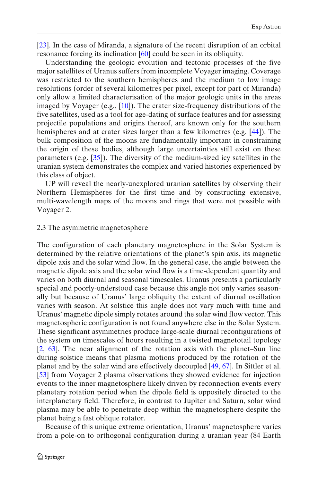[\[23](#page-36-0)]. In the case of Miranda, a signature of the recent disruption of an orbital resonance forcing its inclination [\[60\]](#page-38-0) could be seen in its obliquity.

Understanding the geologic evolution and tectonic processes of the five major satellites of Uranus suffers from incomplete Voyager imaging. Coverage was restricted to the southern hemispheres and the medium to low image resolutions (order of several kilometres per pixel, except for part of Miranda) only allow a limited characterisation of the major geologic units in the areas imaged by Voyager (e.g., [\[10](#page-36-0)]). The crater size-frequency distributions of the five satellites, used as a tool for age-dating of surface features and for assessing projectile populations and origins thereof, are known only for the southern hemispheres and at crater sizes larger than a few kilometres (e.g. [\[44\]](#page-37-0)). The bulk composition of the moons are fundamentally important in constraining the origin of these bodies, although large uncertainties still exist on these parameters (e.g. [\[35\]](#page-37-0)). The diversity of the medium-sized icy satellites in the uranian system demonstrates the complex and varied histories experienced by this class of object.

UP will reveal the nearly-unexplored uranian satellites by observing their Northern Hemispheres for the first time and by constructing extensive, multi-wavelength maps of the moons and rings that were not possible with Voyager 2.

#### 2.3 The asymmetric magnetosphere

The configuration of each planetary magnetosphere in the Solar System is determined by the relative orientations of the planet's spin axis, its magnetic dipole axis and the solar wind flow. In the general case, the angle between the magnetic dipole axis and the solar wind flow is a time-dependent quantity and varies on both diurnal and seasonal timescales. Uranus presents a particularly special and poorly-understood case because this angle not only varies seasonally but because of Uranus' large obliquity the extent of diurnal oscillation varies with season. At solstice this angle does not vary much with time and Uranus' magnetic dipole simply rotates around the solar wind flow vector. This magnetospheric configuration is not found anywhere else in the Solar System. These significant asymmetries produce large-scale diurnal reconfigurations of the system on timescales of hours resulting in a twisted magnetotail topology [\[2](#page-35-0), [63\]](#page-38-0). The near alignment of the rotation axis with the planet–Sun line during solstice means that plasma motions produced by the rotation of the planet and by the solar wind are effectively decoupled [\[49](#page-37-0), [67](#page-38-0)]. In Sittler et al. [\[53](#page-38-0)] from Voyager 2 plasma observations they showed evidence for injection events to the inner magnetosphere likely driven by reconnection events every planetary rotation period when the dipole field is oppositely directed to the interplanetary field. Therefore, in contrast to Jupiter and Saturn, solar wind plasma may be able to penetrate deep within the magnetosphere despite the planet being a fast oblique rotator.

Because of this unique extreme orientation, Uranus' magnetosphere varies from a pole-on to orthogonal configuration during a uranian year (84 Earth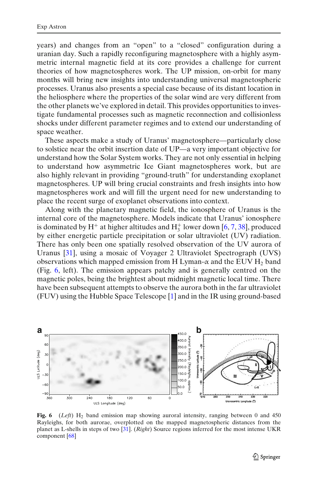<span id="page-16-0"></span>years) and changes from an "open" to a "closed" configuration during a uranian day. Such a rapidly reconfiguring magnetosphere with a highly asymmetric internal magnetic field at its core provides a challenge for current theories of how magnetospheres work. The UP mission, on-orbit for many months will bring new insights into understanding universal magnetospheric processes. Uranus also presents a special case because of its distant location in the heliosphere where the properties of the solar wind are very different from the other planets we've explored in detail. This provides opportunities to investigate fundamental processes such as magnetic reconnection and collisionless shocks under different parameter regimes and to extend our understanding of space weather.

These aspects make a study of Uranus' magnetosphere—particularly close to solstice near the orbit insertion date of UP—a very important objective for understand how the Solar System works. They are not only essential in helping to understand how asymmetric Ice Giant magnetospheres work, but are also highly relevant in providing "ground-truth" for understanding exoplanet magnetospheres. UP will bring crucial constraints and fresh insights into how magnetospheres work and will fill the urgent need for new understanding to place the recent surge of exoplanet observations into context.

Along with the planetary magnetic field, the ionosphere of Uranus is the internal core of the magnetosphere. Models indicate that Uranus' ionosphere is dominated by H<sup>+</sup> at higher altitudes and  $H_3^+$  lower down [\[6,](#page-36-0) [7](#page-36-0), [38](#page-37-0)], produced by either energetic particle precipitation or solar ultraviolet (UV) radiation. There has only been one spatially resolved observation of the UV aurora of Uranus [\[31\]](#page-37-0), using a mosaic of Voyager 2 Ultraviolet Spectrograph (UVS) observations which mapped emission from H Lyman- $\alpha$  and the EUV H<sub>2</sub> band (Fig. 6, left). The emission appears patchy and is generally centred on the magnetic poles, being the brightest about midnight magnetic local time. There have been subsequent attempts to observe the aurora both in the far ultraviolet (FUV) using the Hubble Space Telescope [\[1\]](#page-35-0) and in the IR using ground-based



**Fig. 6** (*Left*) H<sup>2</sup> band emission map showing auroral intensity, ranging between 0 and 450 Rayleighs, for both aurorae, overplotted on the mapped magnetospheric distances from the planet as L-shells in steps of two [\[31](#page-37-0)]. (*Right*) Source regions inferred for the most intense UKR component [\[68\]](#page-38-0)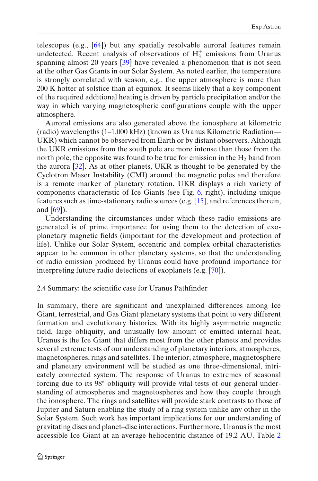<span id="page-17-0"></span>telescopes (e.g., [\[64\]](#page-38-0)) but any spatially resolvable auroral features remain undetected. Recent analysis of observations of  $H_3^+$  emissions from Uranus spanning almost 20 years [\[39](#page-37-0)] have revealed a phenomenon that is not seen at the other Gas Giants in our Solar System. As noted earlier, the temperature is strongly correlated with season, e.g., the upper atmosphere is more than 200 K hotter at solstice than at equinox. It seems likely that a key component of the required additional heating is driven by particle precipitation and/or the way in which varying magnetospheric configurations couple with the upper atmosphere.

Auroral emissions are also generated above the ionosphere at kilometric (radio) wavelengths (1–1,000 kHz) (known as Uranus Kilometric Radiation— UKR) which cannot be observed from Earth or by distant observers. Although the UKR emissions from the south pole are more intense than those from the north pole, the opposite was found to be true for emission in the  $H_2$  band from the aurora [\[32\]](#page-37-0). As at other planets, UKR is thought to be generated by the Cyclotron Maser Instability (CMI) around the magnetic poles and therefore is a remote marker of planetary rotation. UKR displays a rich variety of components characteristic of Ice Giants (see Fig. [6,](#page-16-0) right), including unique features such as time-stationary radio sources (e.g. [\[15\]](#page-36-0), and references therein, and  $[69]$ ).

Understanding the circumstances under which these radio emissions are generated is of prime importance for using them to the detection of exoplanetary magnetic fields (important for the development and protection of life). Unlike our Solar System, eccentric and complex orbital characteristics appear to be common in other planetary systems, so that the understanding of radio emission produced by Uranus could have profound importance for interpreting future radio detections of exoplanets (e.g. [\[70\]](#page-38-0)).

2.4 Summary: the scientific case for Uranus Pathfinder

In summary, there are significant and unexplained differences among Ice Giant, terrestrial, and Gas Giant planetary systems that point to very different formation and evolutionary histories. With its highly asymmetric magnetic field, large obliquity, and unusually low amount of emitted internal heat, Uranus is the Ice Giant that differs most from the other planets and provides several extreme tests of our understanding of planetary interiors, atmospheres, magnetospheres, rings and satellites. The interior, atmosphere, magnetosphere and planetary environment will be studied as one three-dimensional, intricately connected system. The response of Uranus to extremes of seasonal forcing due to its 98◦ obliquity will provide vital tests of our general understanding of atmospheres and magnetospheres and how they couple through the ionosphere. The rings and satellites will provide stark contrasts to those of Jupiter and Saturn enabling the study of a ring system unlike any other in the Solar System. Such work has important implications for our understanding of gravitating discs and planet–disc interactions. Furthermore, Uranus is the most accessible Ice Giant at an average heliocentric distance of 19.2 AU. Table [2](#page-18-0)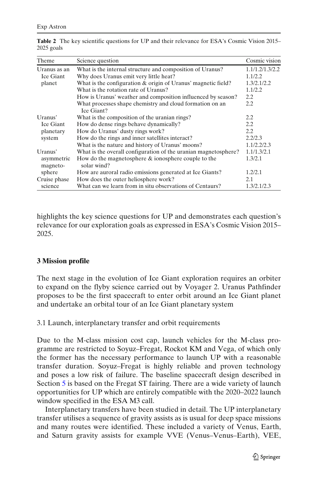| Theme                  | Science question                                                       | Cosmic vision   |
|------------------------|------------------------------------------------------------------------|-----------------|
| Uranus as an           | What is the internal structure and composition of Uranus?              | 1.1/1.2/1.3/2.2 |
| Ice Giant              | Why does Uranus emit very little heat?                                 | 1.1/2.2         |
| planet                 | What is the configuration $\&$ origin of Uranus' magnetic field?       | 1.3/2.1/2.2     |
|                        | What is the rotation rate of Uranus?                                   | 1.1/2.2         |
|                        | How is Uranus' weather and composition influenced by season?           | 2.2             |
|                        | What processes shape chemistry and cloud formation on an<br>Ice Giant? | 2.2             |
| Uranus'                | What is the composition of the uranian rings?                          | 2.2             |
| Ice Giant              | How do dense rings behave dynamically?                                 | 2.2             |
| planetary              | How do Uranus' dusty rings work?                                       | 2.2             |
| system                 | How do the rings and inner satellites interact?                        | 2.2/2.3         |
|                        | What is the nature and history of Uranus' moons?                       | 1.1/2.2/2.3     |
| Uranus'                | What is the overall configuration of the uranian magnetosphere?        | 1.1/1.3/2.1     |
| asymmetric<br>magneto- | How do the magnetosphere $\&$ ionosphere couple to the<br>solar wind?  | 1.3/2.1         |
| sphere                 | How are auroral radio emissions generated at Ice Giants?               | 1.2/2.1         |
| Cruise phase           | How does the outer heliosphere work?                                   | 2.1             |
| science                | What can we learn from in situ observations of Centaurs?               | 1.3/2.1/2.3     |

<span id="page-18-0"></span>**Table 2** The key scientific questions for UP and their relevance for ESA's Cosmic Vision 2015– 2025 goals

highlights the key science questions for UP and demonstrates each question's relevance for our exploration goals as expressed in ESA's Cosmic Vision 2015– 2025.

# **3 Mission profile**

The next stage in the evolution of Ice Giant exploration requires an orbiter to expand on the flyby science carried out by Voyager 2. Uranus Pathfinder proposes to be the first spacecraft to enter orbit around an Ice Giant planet and undertake an orbital tour of an Ice Giant planetary system

3.1 Launch, interplanetary transfer and orbit requirements

Due to the M-class mission cost cap, launch vehicles for the M-class programme are restricted to Soyuz–Fregat, Rockot KM and Vega, of which only the former has the necessary performance to launch UP with a reasonable transfer duration. Soyuz–Fregat is highly reliable and proven technology and poses a low risk of failure. The baseline spacecraft design described in Section [5](#page-24-0) is based on the Fregat ST fairing. There are a wide variety of launch opportunities for UP which are entirely compatible with the 2020–2022 launch window specified in the ESA M3 call.

Interplanetary transfers have been studied in detail. The UP interplanetary transfer utilises a sequence of gravity assists as is usual for deep space missions and many routes were identified. These included a variety of Venus, Earth, and Saturn gravity assists for example VVE (Venus–Venus–Earth), VEE,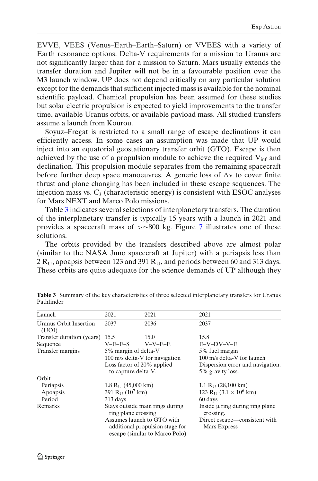<span id="page-19-0"></span>EVVE, VEES (Venus–Earth–Earth–Saturn) or VVEES with a variety of Earth resonance options. Delta-V requirements for a mission to Uranus are not significantly larger than for a mission to Saturn. Mars usually extends the transfer duration and Jupiter will not be in a favourable position over the M3 launch window. UP does not depend critically on any particular solution except for the demands that sufficient injected mass is available for the nominal scientific payload. Chemical propulsion has been assumed for these studies but solar electric propulsion is expected to yield improvements to the transfer time, available Uranus orbits, or available payload mass. All studied transfers assume a launch from Kourou.

Soyuz–Fregat is restricted to a small range of escape declinations it can efficiently access. In some cases an assumption was made that UP would inject into an equatorial geostationary transfer orbit (GTO). Escape is then achieved by the use of a propulsion module to achieve the required  $V_{\text{inf}}$  and declination. This propulsion module separates from the remaining spacecraft before further deep space manoeuvres. A generic loss of  $\Delta v$  to cover finite thrust and plane changing has been included in these escape sequences. The injection mass vs.  $C_3$  (characteristic energy) is consistent with ESOC analyses for Mars NEXT and Marco Polo missions.

Table 3 indicates several selections of interplanetary transfers. The duration of the interplanetary transfer is typically 15 years with a launch in 2021 and provides a spacecraft mass of  $>$ ∼800 kg. Figure [7](#page-20-0) illustrates one of these solutions.

The orbits provided by the transfers described above are almost polar (similar to the NASA Juno spacecraft at Jupiter) with a periapsis less than  $2 R_{\text{U}}$ , apoapsis between 123 and 391  $R_{\text{U}}$ , and periods between 60 and 313 days. These orbits are quite adequate for the science demands of UP although they

| Launch                          | 2021                                     | 2021                                                          | 2021                                               |
|---------------------------------|------------------------------------------|---------------------------------------------------------------|----------------------------------------------------|
| Uranus Orbit Insertion<br>(UOI) | 2037                                     | 2036                                                          | 2037                                               |
| Transfer duration (years)       | 15.5                                     | 15.0                                                          | 15.8                                               |
| Sequence                        | V–E–E–S                                  | $V-V–E–E$                                                     | $E-V-DV-V-E$                                       |
| Transfer margins                | 5% margin of delta-V                     |                                                               | 5% fuel margin                                     |
|                                 |                                          | 100 m/s delta-V for navigation                                | 100 m/s delta-V for launch                         |
|                                 | Loss factor of 20% applied               |                                                               | Dispersion error and navigation.                   |
|                                 | to capture delta-V.                      |                                                               | 5% gravity loss.                                   |
| Orbit                           |                                          |                                                               |                                                    |
| Periapsis                       | $1.8 \text{ R}_{\text{U}}$ (45,000 km)   |                                                               | 1.1 $R_U$ (28,100 km)                              |
| Apoapsis                        | 391 R <sub>II</sub> (10 <sup>7</sup> km) |                                                               | 123 R <sub>II</sub> $(3.1 \times 10^6 \text{ km})$ |
| Period                          | 313 days                                 |                                                               | 60 days                                            |
| Remarks                         | ring plane crossing                      | Stays outside main rings during                               | Inside $\mu$ ring during ring plane<br>crossing.   |
|                                 |                                          | Assumes launch to GTO with<br>additional propulsion stage for | Direct escape—consistent with<br>Mars Express      |
|                                 |                                          | escape (similar to Marco Polo)                                |                                                    |

**Table 3** Summary of the key characteristics of three selected interplanetary transfers for Uranus Pathfinder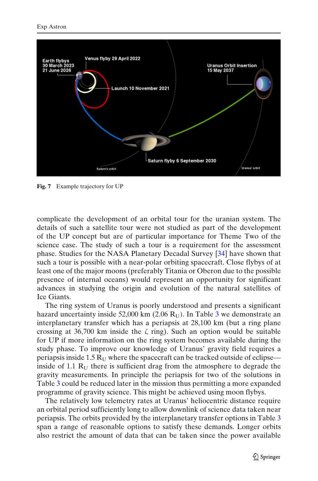<span id="page-20-0"></span>

**Fig. 7** Example trajectory for UP

complicate the development of an orbital tour for the uranian system. The details of such a satellite tour were not studied as part of the development of the UP concept but are of particular importance for Theme Two of the science case. The study of such a tour is a requirement for the assessment phase. Studies for the NASA Planetary Decadal Survey [\[34\]](#page-37-0) have shown that such a tour is possible with a near-polar orbiting spacecraft. Close flybys of at least one of the major moons (preferably Titania or Oberon due to the possible presence of internal oceans) would represent an opportunity for significant advances in studying the origin and evolution of the natural satellites of Ice Giants.

The ring system of Uranus is poorly understood and presents a significant hazard uncertainty inside 52,000 km (2.06  $R_{\text{U}}$ ). In Table [3](#page-19-0) we demonstrate an interplanetary transfer which has a periapsis at 28,100 km (but a ring plane crossing at 36,700 km inside the  $\zeta$  ring). Such an option would be suitable for UP if more information on the ring system becomes available during the study phase. To improve our knowledge of Uranus' gravity field requires a periapsis inside 1.5  $R_{\text{U}}$  where the spacecraft can be tracked outside of eclipse inside of 1.1  $R_U$  there is sufficient drag from the atmosphere to degrade the gravity measurements. In principle the periapsis for two of the solutions in Table [3](#page-19-0) could be reduced later in the mission thus permitting a more expanded programme of gravity science. This might be achieved using moon flybys.

The relatively low telemetry rates at Uranus' heliocentric distance require an orbital period sufficiently long to allow downlink of science data taken near periapsis. The orbits provided by the interplanetary transfer options in Table [3](#page-19-0) span a range of reasonable options to satisfy these demands. Longer orbits also restrict the amount of data that can be taken since the power available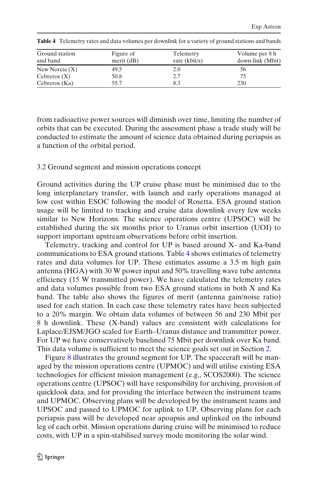| Ground station<br>and band | Figure of<br>merit $(dB)$ | Telemetry<br>rate (kbit/s) | Volume per 8 h<br>down-link (Mbit) |
|----------------------------|---------------------------|----------------------------|------------------------------------|
| New Norcia $(X)$           | 49.5                      | 2.0                        | 56                                 |
| Cebreros $(X)$             | 50.8                      | 2.7                        |                                    |
| Cebreros $(Ka)$            | 55.7                      | 8.3                        | 230                                |

<span id="page-21-0"></span>**Table 4** Telemetry rates and data volumes per downlink for a variety of ground stations and bands

from radioactive power sources will diminish over time, limiting the number of orbits that can be executed. During the assessment phase a trade study will be conducted to estimate the amount of science data obtained during periapsis as a function of the orbital period.

#### 3.2 Ground segment and mission operations concept

Ground activities during the UP cruise phase must be minimised due to the long interplanetary transfer, with launch and early operations managed at low cost within ESOC following the model of Rosetta. ESA ground station usage will be limited to tracking and cruise data downlink every few weeks similar to New Horizons. The science operations centre (UPSOC) will be established during the six months prior to Uranus orbit insertion (UOI) to support important upstream observations before orbit insertion.

Telemetry, tracking and control for UP is based around X- and Ka-band communications to ESA ground stations. Table 4 shows estimates of telemetry rates and data volumes for UP. These estimates assume a 3.5 m high gain antenna (HGA) with 30 W power input and 50% travelling wave tube antenna efficiency (15 W transmitted power). We have calculated the telemetry rates and data volumes possible from two ESA ground stations in both X and Ka band. The table also shows the figures of merit (antenna gain/noise ratio) used for each station. In each case these telemetry rates have been subjected to a 20% margin. We obtain data volumes of between 56 and 230 Mbit per 8 h downlink. These (X-band) values are consistent with calculations for Laplace/EJSM/JGO scaled for Earth–Uranus distance and transmitter power. For UP we have conservatively baselined 75 Mbit per downlink over Ka band. This data volume is sufficient to meet the science goals set out in Section [2.](#page-7-0)

Figure [8](#page-22-0) illustrates the ground segment for UP. The spacecraft will be managed by the mission operations centre (UPMOC) and will utilise existing ESA technologies for efficient mission management (e.g., SCOS2000). The science operations centre (UPSOC) will have responsibility for archiving, provision of quicklook data, and for providing the interface between the instrument teams and UPMOC. Observing plans will be developed by the instrument teams and UPSOC and passed to UPMOC for uplink to UP. Observing plans for each periapsis pass will be developed near apoapsis and uplinked on the inbound leg of each orbit. Mission operations during cruise will be minimised to reduce costs, with UP in a spin-stabilised survey mode monitoring the solar wind.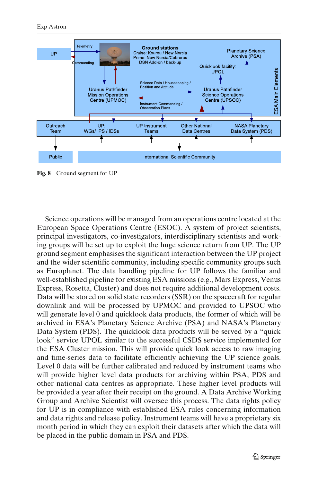<span id="page-22-0"></span>

**Fig. 8** Ground segment for UP

Science operations will be managed from an operations centre located at the European Space Operations Centre (ESOC). A system of project scientists, principal investigators, co-investigators, interdisciplinary scientists and working groups will be set up to exploit the huge science return from UP. The UP ground segment emphasises the significant interaction between the UP project and the wider scientific community, including specific community groups such as Europlanet. The data handling pipeline for UP follows the familiar and well-established pipeline for existing ESA missions (e.g., Mars Express, Venus Express, Rosetta, Cluster) and does not require additional development costs. Data will be stored on solid state recorders (SSR) on the spacecraft for regular downlink and will be processed by UPMOC and provided to UPSOC who will generate level 0 and quicklook data products, the former of which will be archived in ESA's Planetary Science Archive (PSA) and NASA's Planetary Data System (PDS). The quicklook data products will be served by a "quick look" service UPQL similar to the successful CSDS service implemented for the ESA Cluster mission. This will provide quick look access to raw imaging and time-series data to facilitate efficiently achieving the UP science goals. Level 0 data will be further calibrated and reduced by instrument teams who will provide higher level data products for archiving within PSA, PDS and other national data centres as appropriate. These higher level products will be provided a year after their receipt on the ground. A Data Archive Working Group and Archive Scientist will oversee this process. The data rights policy for UP is in compliance with established ESA rules concerning information and data rights and release policy. Instrument teams will have a proprietary six month period in which they can exploit their datasets after which the data will be placed in the public domain in PSA and PDS.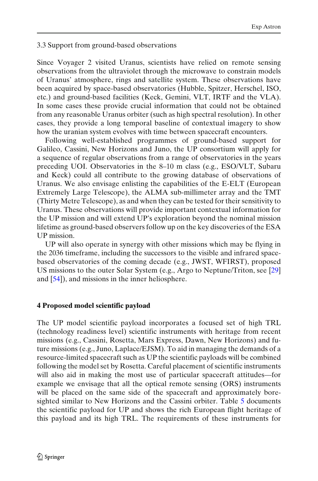### 3.3 Support from ground-based observations

Since Voyager 2 visited Uranus, scientists have relied on remote sensing observations from the ultraviolet through the microwave to constrain models of Uranus' atmosphere, rings and satellite system. These observations have been acquired by space-based observatories (Hubble, Spitzer, Herschel, ISO, etc.) and ground-based facilities (Keck, Gemini, VLT, IRTF and the VLA). In some cases these provide crucial information that could not be obtained from any reasonable Uranus orbiter (such as high spectral resolution). In other cases, they provide a long temporal baseline of contextual imagery to show how the uranian system evolves with time between spacecraft encounters.

Following well-established programmes of ground-based support for Galileo, Cassini, New Horizons and Juno, the UP consortium will apply for a sequence of regular observations from a range of observatories in the years preceding UOI. Observatories in the 8–10 m class (e.g., ESO/VLT, Subaru and Keck) could all contribute to the growing database of observations of Uranus. We also envisage enlisting the capabilities of the E-ELT (European Extremely Large Telescope), the ALMA sub-millimeter array and the TMT (Thirty Metre Telescope), as and when they can be tested for their sensitivity to Uranus. These observations will provide important contextual information for the UP mission and will extend UP's exploration beyond the nominal mission lifetime as ground-based observers follow up on the key discoveries of the ESA UP mission.

UP will also operate in synergy with other missions which may be flying in the 2036 timeframe, including the successors to the visible and infrared spacebased observatories of the coming decade (e.g., JWST, WFIRST), proposed US missions to the outer Solar System (e.g., Argo to Neptune/Triton, see [\[29](#page-37-0)] and [\[54\]](#page-38-0)), and missions in the inner heliosphere.

### **4 Proposed model scientific payload**

The UP model scientific payload incorporates a focused set of high TRL (technology readiness level) scientific instruments with heritage from recent missions (e.g., Cassini, Rosetta, Mars Express, Dawn, New Horizons) and future missions (e.g., Juno, Laplace/EJSM). To aid in managing the demands of a resource-limited spacecraft such as UP the scientific payloads will be combined following the model set by Rosetta. Careful placement of scientific instruments will also aid in making the most use of particular spacecraft attitudes—for example we envisage that all the optical remote sensing (ORS) instruments will be placed on the same side of the spacecraft and approximately boresighted similar to New Horizons and the Cassini orbiter. Table [5](#page-24-0) documents the scientific payload for UP and shows the rich European flight heritage of this payload and its high TRL. The requirements of these instruments for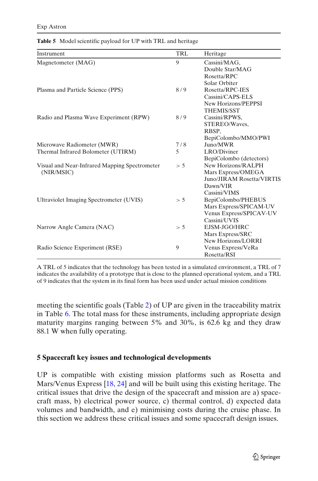| Instrument                                    | TRL. | Heritage                          |
|-----------------------------------------------|------|-----------------------------------|
| Magnetometer (MAG)                            | 9    | Cassini/MAG,                      |
|                                               |      | Double Star/MAG                   |
|                                               |      | Rosetta/RPC                       |
|                                               |      | Solar Orbiter                     |
| Plasma and Particle Science (PPS)             | 8/9  | Rosetta/RPC-IES                   |
|                                               |      | Cassini/CAPS-ELS                  |
|                                               |      | New Horizons/PEPPSI               |
|                                               |      | <b>THEMIS/SST</b>                 |
| Radio and Plasma Wave Experiment (RPW)        | 8/9  | Cassini/RPWS,                     |
|                                               |      | STEREO/Waves.                     |
|                                               |      | RBSP.                             |
|                                               |      | BepiColombo/MMO/PWI               |
| Microwave Radiometer (MWR)                    | 7/8  | Juno/MWR                          |
| Thermal Infrared Bolometer (UTIRM)            | 5    | LRO/Diviner                       |
|                                               |      | BepiColombo (detectors)           |
| Visual and Near-Infrared Mapping Spectrometer | > 5  | New Horizons/RALPH                |
| (NIR/MSIC)                                    |      | Mars Express/OMEGA                |
|                                               |      | <b>Juno/JIR AM Rosetta/VIRTIS</b> |
|                                               |      | Dawn/VIR                          |
|                                               |      | Cassini/VIMS                      |
| Ultraviolet Imaging Spectrometer (UVIS)       | > 5  | BepiColombo/PHEBUS                |
|                                               |      | Mars Express/SPICAM-UV            |
|                                               |      | Venus Express/SPICAV-UV           |
|                                               |      | Cassini/UVIS                      |
| Narrow Angle Camera (NAC)                     | > 5  | EJSM-JGO/HRC                      |
|                                               |      | Mars Express/SRC                  |
|                                               |      | New Horizons/LORRI                |
| Radio Science Experiment (RSE)                | 9    | Venus Express/VeRa                |
|                                               |      | Rosetta/RSI                       |

<span id="page-24-0"></span>**Table 5** Model scientific payload for UP with TRL and heritage

A TRL of 5 indicates that the technology has been tested in a simulated environment, a TRL of 7 indicates the availability of a prototype that is close to the planned operational system, and a TRL of 9 indicates that the system in its final form has been used under actual mission conditions

meeting the scientific goals (Table [2\)](#page-18-0) of UP are given in the traceability matrix in Table [6.](#page-25-0) The total mass for these instruments, including appropriate design maturity margins ranging between 5% and 30%, is 62.6 kg and they draw 88.1 W when fully operating.

### **5 Spacecraft key issues and technological developments**

UP is compatible with existing mission platforms such as Rosetta and Mars/Venus Express [\[18,](#page-36-0) [24](#page-36-0)] and will be built using this existing heritage. The critical issues that drive the design of the spacecraft and mission are a) spacecraft mass, b) electrical power source, c) thermal control, d) expected data volumes and bandwidth, and e) minimising costs during the cruise phase. In this section we address these critical issues and some spacecraft design issues.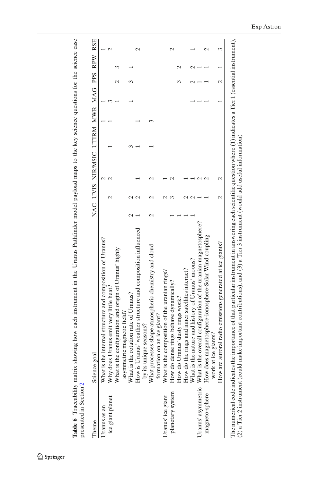<span id="page-25-0"></span>Table 6 Traceability matrix showing how each instrument in the Uranus Pathfinder model payload maps to the key science questions for the science case presented in Section 2 **Table 6** Traceability matrix showing how each instrument in the Uranus Pathfinder model payload maps to the key science questions for the science case presented in Section [2](#page-7-0)

| How is Uranus' weather structure and composition influenced<br>What is the internal structure and composition of Uranus?<br>What processes shape atmospheric chemistry and cloud<br>Why does Uranus emit very little heat?<br>What is the configuration and origin of Uranus' highly<br>What is the composition of the uranian rings? |  |  |  |  |
|---------------------------------------------------------------------------------------------------------------------------------------------------------------------------------------------------------------------------------------------------------------------------------------------------------------------------------------|--|--|--|--|
|                                                                                                                                                                                                                                                                                                                                       |  |  |  |  |
|                                                                                                                                                                                                                                                                                                                                       |  |  |  |  |
|                                                                                                                                                                                                                                                                                                                                       |  |  |  |  |
|                                                                                                                                                                                                                                                                                                                                       |  |  |  |  |
|                                                                                                                                                                                                                                                                                                                                       |  |  |  |  |
|                                                                                                                                                                                                                                                                                                                                       |  |  |  |  |
|                                                                                                                                                                                                                                                                                                                                       |  |  |  |  |
|                                                                                                                                                                                                                                                                                                                                       |  |  |  |  |
|                                                                                                                                                                                                                                                                                                                                       |  |  |  |  |
|                                                                                                                                                                                                                                                                                                                                       |  |  |  |  |
|                                                                                                                                                                                                                                                                                                                                       |  |  |  |  |
|                                                                                                                                                                                                                                                                                                                                       |  |  |  |  |
|                                                                                                                                                                                                                                                                                                                                       |  |  |  |  |
|                                                                                                                                                                                                                                                                                                                                       |  |  |  |  |
| What is the overall configuration of the uranian magnetosphere?                                                                                                                                                                                                                                                                       |  |  |  |  |
| How does magnetosphere-ionosphere-Solar Wind coupling                                                                                                                                                                                                                                                                                 |  |  |  |  |
|                                                                                                                                                                                                                                                                                                                                       |  |  |  |  |
| auroral radio emissions generated at ice giants?                                                                                                                                                                                                                                                                                      |  |  |  |  |
| What is the nature and history of Uranus' moons?<br>How do the rings and inner satellites interact?                                                                                                                                                                                                                                   |  |  |  |  |

Exp Astron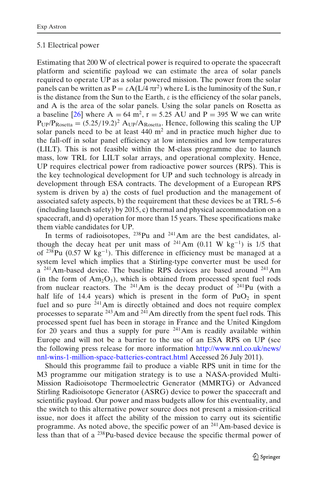# 5.1 Electrical power

Estimating that 200 W of electrical power is required to operate the spacecraft platform and scientific payload we can estimate the area of solar panels required to operate UP as a solar powered mission. The power from the solar panels can be written as  $P = \varepsilon A(L/4 \pi r^2)$  where L is the luminosity of the Sun, r is the distance from the Sun to the Earth,  $\varepsilon$  is the efficiency of the solar panels, and A is the area of the solar panels. Using the solar panels on Rosetta as a baseline [\[26\]](#page-36-0) where  $A = 64$  m<sup>2</sup>,  $r = 5.25$  AU and P = 395 W we can write  $P_{UP}/P_{Rosetta} = (5.25/19.2)^2 A_{UP}/A_{Rosetta}$ . Hence, following this scaling the UP solar panels need to be at least  $440 \text{ m}^2$  and in practice much higher due to the fall-off in solar panel efficiency at low intensities and low temperatures (LILT). This is not feasible within the M-class programme due to launch mass, low TRL for LILT solar arrays, and operational complexity. Hence, UP requires electrical power from radioactive power sources (RPS). This is the key technological development for UP and such technology is already in development through ESA contracts. The development of a European RPS system is driven by a) the costs of fuel production and the management of associated safety aspects, b) the requirement that these devices be at TRL 5–6 (including launch safety) by 2015, c) thermal and physical accommodation on a spacecraft, and d) operation for more than 15 years. These specifications make them viable candidates for UP.

In terms of radioisotopes,  $^{238}$ Pu and  $^{241}$ Am are the best candidates, although the decay heat per unit mass of <sup>241</sup>Am (0.11 W kg<sup>-1</sup>) is 1/5 that of <sup>238</sup>Pu (0.57 W kg<sup>-1</sup>). This difference in efficiency must be managed at a system level which implies that a Stirling-type converter must be used for  $a^{241}$ Am-based device. The baseline RPS devices are based around  $^{241}$ Am (in the form of  $Am_2O_3$ ), which is obtained from processed spent fuel rods from nuclear reactors. The <sup>241</sup>Am is the decay product of <sup>241</sup>Pu (with a half life of 14.4 years) which is present in the form of  $PuO<sub>2</sub>$  in spent fuel and so pure  $241$  Am is directly obtained and does not require complex processes to separate <sup>243</sup>Am and <sup>241</sup>Am directly from the spent fuel rods. This processed spent fuel has been in storage in France and the United Kingdom for 20 years and thus a supply for pure  $^{241}$ Am is readily available within Europe and will not be a barrier to the use of an ESA RPS on UP (see the following press release for more information [http://www.nnl.co.uk/news/](http://www.nnl.co.uk/news/nnl-wins-1-million-space-batteries-contract.html) [nnl-wins-1-million-space-batteries-contract.html](http://www.nnl.co.uk/news/nnl-wins-1-million-space-batteries-contract.html) Accessed 26 July 2011).

Should this programme fail to produce a viable RPS unit in time for the M3 programme our mitigation strategy is to use a NASA-provided Multi-Mission Radioisotope Thermoelectric Generator (MMRTG) or Advanced Stirling Radioisotope Generator (ASRG) device to power the spacecraft and scientific payload. Our power and mass budgets allow for this eventuality, and the switch to this alternative power source does not present a mission-critical issue, nor does it affect the ability of the mission to carry out its scientific programme. As noted above, the specific power of an  $^{241}$ Am-based device is less than that of a <sup>238</sup>Pu-based device because the specific thermal power of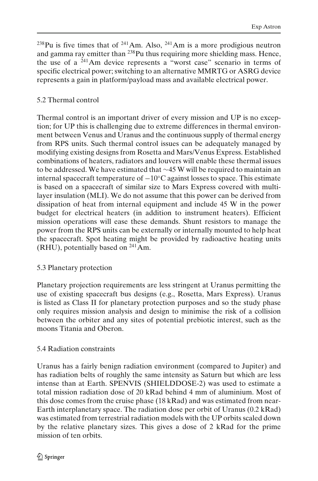$^{238}$ Pu is five times that of  $^{241}$ Am. Also,  $^{241}$ Am is a more prodigious neutron and gamma ray emitter than  $^{238}$ Pu thus requiring more shielding mass. Hence, the use of a  $241$ Am device represents a "worst case" scenario in terms of specific electrical power; switching to an alternative MMRTG or ASRG device represents a gain in platform/payload mass and available electrical power.

# 5.2 Thermal control

Thermal control is an important driver of every mission and UP is no exception; for UP this is challenging due to extreme differences in thermal environment between Venus and Uranus and the continuous supply of thermal energy from RPS units. Such thermal control issues can be adequately managed by modifying existing designs from Rosetta and Mars/Venus Express. Established combinations of heaters, radiators and louvers will enable these thermal issues to be addressed. We have estimated that ∼45 W will be required to maintain an internal spacecraft temperature of −10◦C against losses to space. This estimate is based on a spacecraft of similar size to Mars Express covered with multilayer insulation (MLI). We do not assume that this power can be derived from dissipation of heat from internal equipment and include 45 W in the power budget for electrical heaters (in addition to instrument heaters). Efficient mission operations will ease these demands. Shunt resistors to manage the power from the RPS units can be externally or internally mounted to help heat the spacecraft. Spot heating might be provided by radioactive heating units (RHU), potentially based on  $^{241}$ Am.

# 5.3 Planetary protection

Planetary projection requirements are less stringent at Uranus permitting the use of existing spacecraft bus designs (e.g., Rosetta, Mars Express). Uranus is listed as Class II for planetary protection purposes and so the study phase only requires mission analysis and design to minimise the risk of a collision between the orbiter and any sites of potential prebiotic interest, such as the moons Titania and Oberon.

# 5.4 Radiation constraints

Uranus has a fairly benign radiation environment (compared to Jupiter) and has radiation belts of roughly the same intensity as Saturn but which are less intense than at Earth. SPENVIS (SHIELDDOSE-2) was used to estimate a total mission radiation dose of 20 kRad behind 4 mm of aluminium. Most of this dose comes from the cruise phase (18 kRad) and was estimated from near-Earth interplanetary space. The radiation dose per orbit of Uranus (0.2 kRad) was estimated from terrestrial radiation models with the UP orbits scaled down by the relative planetary sizes. This gives a dose of 2 kRad for the prime mission of ten orbits.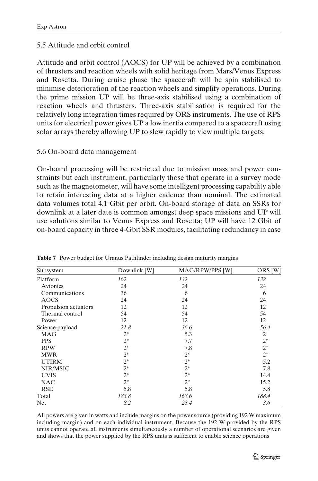# <span id="page-28-0"></span>5.5 Attitude and orbit control

Attitude and orbit control (AOCS) for UP will be achieved by a combination of thrusters and reaction wheels with solid heritage from Mars/Venus Express and Rosetta. During cruise phase the spacecraft will be spin stabilised to minimise deterioration of the reaction wheels and simplify operations. During the prime mission UP will be three-axis stabilised using a combination of reaction wheels and thrusters. Three-axis stabilisation is required for the relatively long integration times required by ORS instruments. The use of RPS units for electrical power gives UP a low inertia compared to a spacecraft using solar arrays thereby allowing UP to slew rapidly to view multiple targets.

### 5.6 On-board data management

On-board processing will be restricted due to mission mass and power constraints but each instrument, particularly those that operate in a survey mode such as the magnetometer, will have some intelligent processing capability able to retain interesting data at a higher cadence than nominal. The estimated data volumes total 4.1 Gbit per orbit. On-board storage of data on SSRs for downlink at a later date is common amongst deep space missions and UP will use solutions similar to Venus Express and Rosetta; UP will have 12 Gbit of on-board capacity in three 4-Gbit SSR modules, facilitating redundancy in case

| Subsystem            | Downlink [W] | <b>MAG/RPW/PPS [W]</b> | ORS [W]        |
|----------------------|--------------|------------------------|----------------|
| Platform             | 162          | 132                    | 132            |
| Avionics             | 24           | 24                     | 24             |
| Communications       | 36           | 6                      | 6              |
| <b>AOCS</b>          | 24           | 24                     | 24             |
| Propulsion actuators | 12           | 12                     | 12             |
| Thermal control      | 54           | 54                     | 54             |
| Power                | 12           | 12                     | 12             |
| Science payload      | 21.8         | 36.6                   | 56.4           |
| <b>MAG</b>           | $2^*$        | 5.3                    | $\overline{2}$ |
| <b>PPS</b>           | $2^*$        | 7.7                    | $2^*$          |
| <b>RPW</b>           | $2^*$        | 7.8                    | $2^*$          |
| <b>MWR</b>           | $2^*$        | $2^*$                  | $2^*$          |
| <b>UTIRM</b>         | $2^*$        | $2^*$                  | 5.2            |
| NIR/MSIC             | $2^*$        | $2^*$                  | 7.8            |
| <b>UVIS</b>          | $2*$         | $2*$                   | 14.4           |
| <b>NAC</b>           | $2^*$        | $2^*$                  | 15.2           |
| <b>RSE</b>           | 5.8          | 5.8                    | 5.8            |
| Total                | 183.8        | 168.6                  | 188.4          |
| <b>Net</b>           | 8.2          | 23.4                   | 3.6            |

**Table 7** Power budget for Uranus Pathfinder including design maturity margins

All powers are given in watts and include margins on the power source (providing 192 W maximum including margin) and on each individual instrument. Because the 192 W provided by the RPS units cannot operate all instruments simultaneously a number of operational scenarios are given and shows that the power supplied by the RPS units is sufficient to enable science operations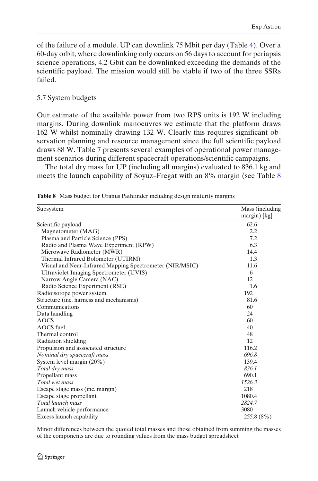of the failure of a module. UP can downlink 75 Mbit per day (Table [4\)](#page-21-0). Over a 60-day orbit, where downlinking only occurs on 56 days to account for periapsis science operations, 4.2 Gbit can be downlinked exceeding the demands of the scientific payload. The mission would still be viable if two of the three SSRs failed.

# 5.7 System budgets

Our estimate of the available power from two RPS units is 192 W including margins. During downlink manoeuvres we estimate that the platform draws 162 W whilst nominally drawing 132 W. Clearly this requires significant observation planning and resource management since the full scientific payload draws 88 W. Table [7](#page-28-0) presents several examples of operational power management scenarios during different spacecraft operations/scientific campaigns.

The total dry mass for UP (including all margins) evaluated to 836.1 kg and meets the launch capability of Soyuz–Fregat with an 8% margin (see Table 8)

| Subsystem                                                | Mass (including           |
|----------------------------------------------------------|---------------------------|
|                                                          | $\frac{1}{\text{margin}}$ |
| Scientific payload                                       | 62.6                      |
| Magnetometer (MAG)                                       | 2.2                       |
| Plasma and Particle Science (PPS)                        | 7.2                       |
| Radio and Plasma Wave Experiment (RPW)                   | 6.3                       |
| Microwave Radiometer (MWR)                               | 14.4                      |
| Thermal Infrared Bolometer (UTIRM)                       | 1.3                       |
| Visual and Near-Infrared Mapping Spectrometer (NIR/MSIC) | 11.6                      |
| Ultraviolet Imaging Spectrometer (UVIS)                  | 6                         |
| Narrow Angle Camera (NAC)                                | 12                        |
| Radio Science Experiment (RSE)                           | 1.6                       |
| Radioisotope power system                                | 192                       |
| Structure (inc. harness and mechanisms)                  | 81.6                      |
| Communications                                           | 60                        |
| Data handling                                            | 24                        |
| <b>AOCS</b>                                              | 60                        |
| <b>AOCS</b> fuel                                         | 40                        |
| Thermal control                                          | 48                        |
| Radiation shielding                                      | 12                        |
| Propulsion and associated structure                      | 116.2                     |
| Nominal dry spacecraft mass                              | 696.8                     |
| System level margin (20%)                                | 139.4                     |
| Total dry mass                                           | 836.1                     |
| Propellant mass                                          | 690.1                     |
| Total wet mass                                           | 1526.3                    |
| Escape stage mass (inc. margin)                          | 218                       |
| Escape stage propellant                                  | 1080.4                    |
| Total launch mass                                        | 2824.7                    |
| Launch vehicle performance                               | 3080                      |
| Excess launch capability                                 | 255.8 (8%)                |

**Table 8** Mass budget for Uranus Pathfinder including design maturity margins

Minor differences between the quoted total masses and those obtained from summing the masses of the components are due to rounding values from the mass budget spreadsheet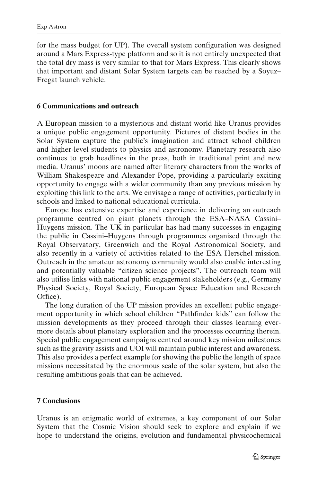for the mass budget for UP). The overall system configuration was designed around a Mars Express-type platform and so it is not entirely unexpected that the total dry mass is very similar to that for Mars Express. This clearly shows that important and distant Solar System targets can be reached by a Soyuz– Fregat launch vehicle.

### **6 Communications and outreach**

A European mission to a mysterious and distant world like Uranus provides a unique public engagement opportunity. Pictures of distant bodies in the Solar System capture the public's imagination and attract school children and higher-level students to physics and astronomy. Planetary research also continues to grab headlines in the press, both in traditional print and new media. Uranus' moons are named after literary characters from the works of William Shakespeare and Alexander Pope, providing a particularly exciting opportunity to engage with a wider community than any previous mission by exploiting this link to the arts. We envisage a range of activities, particularly in schools and linked to national educational curricula.

Europe has extensive expertise and experience in delivering an outreach programme centred on giant planets through the ESA–NASA Cassini– Huygens mission. The UK in particular has had many successes in engaging the public in Cassini–Huygens through programmes organised through the Royal Observatory, Greenwich and the Royal Astronomical Society, and also recently in a variety of activities related to the ESA Herschel mission. Outreach in the amateur astronomy community would also enable interesting and potentially valuable "citizen science projects". The outreach team will also utilise links with national public engagement stakeholders (e.g., Germany Physical Society, Royal Society, European Space Education and Research Office).

The long duration of the UP mission provides an excellent public engagement opportunity in which school children "Pathfinder kids" can follow the mission developments as they proceed through their classes learning evermore details about planetary exploration and the processes occurring therein. Special public engagement campaigns centred around key mission milestones such as the gravity assists and UOI will maintain public interest and awareness. This also provides a perfect example for showing the public the length of space missions necessitated by the enormous scale of the solar system, but also the resulting ambitious goals that can be achieved.

# **7 Conclusions**

Uranus is an enigmatic world of extremes, a key component of our Solar System that the Cosmic Vision should seek to explore and explain if we hope to understand the origins, evolution and fundamental physicochemical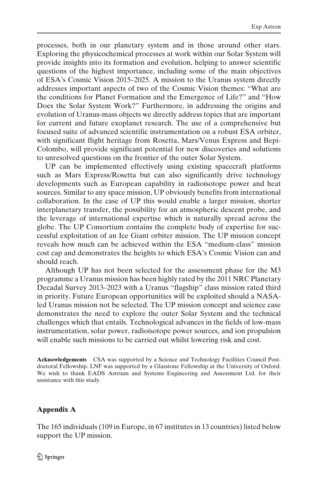processes, both in our planetary system and in those around other stars. Exploring the physicochemical processes at work within our Solar System will provide insights into its formation and evolution, helping to answer scientific questions of the highest importance, including some of the main objectives of ESA's Cosmic Vision 2015–2025. A mission to the Uranus system directly addresses important aspects of two of the Cosmic Vision themes: "What are the conditions for Planet Formation and the Emergence of Life?" and "How Does the Solar System Work?" Furthermore, in addressing the origins and evolution of Uranus-mass objects we directly address topics that are important for current and future exoplanet research. The use of a comprehensive but focused suite of advanced scientific instrumentation on a robust ESA orbiter, with significant flight heritage from Rosetta, Mars/Venus Express and Bepi-Colombo, will provide significant potential for new discoveries and solutions to unresolved questions on the frontier of the outer Solar System.

UP can be implemented effectively using existing spacecraft platforms such as Mars Express/Rosetta but can also significantly drive technology developments such as European capability in radioisotope power and heat sources. Similar to any space mission, UP obviously benefits from international collaboration. In the case of UP this would enable a larger mission, shorter interplanetary transfer, the possibility for an atmospheric descent probe, and the leverage of international expertise which is naturally spread across the globe. The UP Consortium contains the complete body of expertise for successful exploitation of an Ice Giant orbiter mission. The UP mission concept reveals how much can be achieved within the ESA "medium-class" mission cost cap and demonstrates the heights to which ESA's Cosmic Vision can and should reach.

Although UP has not been selected for the assessment phase for the M3 programme a Uranus mission has been highly rated by the 2011 NRC Planetary Decadal Survey 2013–2023 with a Uranus "flagship" class mission rated third in priority. Future European opportunities will be exploited should a NASAled Uranus mission not be selected. The UP mission concept and science case demonstrates the need to explore the outer Solar System and the technical challenges which that entails. Technological advances in the fields of low-mass instrumentation, solar power, radioisotope power sources, and ion propulsion will enable such missions to be carried out whilst lowering risk and cost.

**Acknowledgements** CSA was supported by a Science and Technology Facilities Council Postdoctoral Fellowship. LNF was supported by a Glasstone Fellowship at the University of Oxford. We wish to thank EADS Astrium and Systems Engineering and Assessment Ltd. for their assistance with this study.

### **Appendix A**

The 165 individuals (109 in Europe, in 67 institutes in 13 countries) listed below support the UP mission.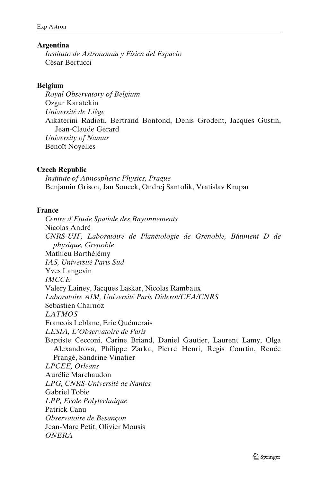# **Argentina**

*Instituto de Astronomía y Física del Espacio* Cèsar Bertucci

# **Belgium**

*Royal Observatory of Belgium* Ozgur Karatekin *Université de Liège* Aikaterini Radioti, Bertrand Bonfond, Denis Grodent, Jacques Gustin, Jean-Claude Gérard *University of Namur* Benoît Noyelles

# **Czech Republic**

*Institute of Atmospheric Physics, Prague* Benjamin Grison, Jan Soucek, Ondrej Santolik, Vratislav Krupar

### **France**

*Centre d'Etude Spatiale des Rayonnements* Nicolas André *CNRS-UJF, Laboratoire de Planétologie de Grenoble, Bâtiment D de physique, Grenoble* Mathieu Barthélémy *IAS, Université Paris Sud* Yves Langevin *IMCCE* Valery Lainey, Jacques Laskar, Nicolas Rambaux *Laboratoire AIM, Université Paris Diderot/CEA/CNRS* Sebastien Charnoz *LATMOS* Francois Leblanc, Eric Quémerais *LESIA, L'Observatoire de Paris* Baptiste Cecconi, Carine Briand, Daniel Gautier, Laurent Lamy, Olga Alexandrova, Philippe Zarka, Pierre Henri, Regis Courtin, Renée Prangé, Sandrine Vinatier *LPCEE, Orléans* Aurélie Marchaudon *LPG, CNRS-Université de Nantes* Gabriel Tobie *LPP, Ecole Polytechnique* Patrick Canu *Observatoire de Besançon* Jean-Marc Petit, Olivier Mousis *ONERA*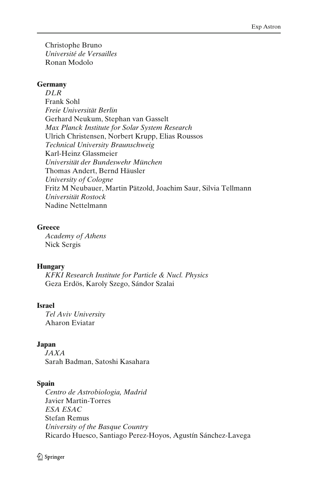Christophe Bruno *Université de Versailles* Ronan Modolo

### **Germany**

*DLR* Frank Sohl *Freie Universität Berlin* Gerhard Neukum, Stephan van Gasselt *Max Planck Institute for Solar System Research* Ulrich Christensen, Norbert Krupp, Elias Roussos *Technical University Braunschweig* Karl-Heinz Glassmeier *Universität der Bundeswehr München* Thomas Andert, Bernd Häusler *University of Cologne* Fritz M Neubauer, Martin Pätzold, Joachim Saur, Silvia Tellmann *Universität Rostock* Nadine Nettelmann

### **Greece**

*Academy of Athens* Nick Sergis

#### **Hungary**

*KFKI Research Institute for Particle & Nucl. Physics* Geza Erdös, Karoly Szego, Sándor Szalai

#### **Israel**

*Tel Aviv University* Aharon Eviatar

### **Japan**

*JAXA* Sarah Badman, Satoshi Kasahara

### **Spain**

*Centro de Astrobiologia, Madrid* Javier Martin-Torres *ESA ESAC* Stefan Remus *University of the Basque Country* Ricardo Huesco, Santiago Perez-Hoyos, Agustín Sánchez-Lavega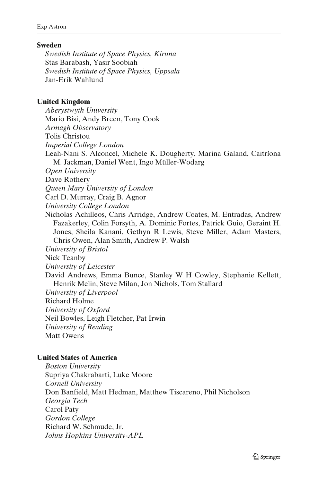### **Sweden**

*Swedish Institute of Space Physics, Kiruna* Stas Barabash, Yasir Soobiah *Swedish Institute of Space Physics, Uppsala* Jan-Erik Wahlund

# **United Kingdom**

*Aberystwyth University* Mario Bisi, Andy Breen, Tony Cook *Armagh Observatory* Tolis Christou *Imperial College London* Leah-Nani S. Alconcel, Michele K. Dougherty, Marina Galand, Caitríona M. Jackman, Daniel Went, Ingo Müller-Wodarg *Open University* Dave Rothery *Queen Mary University of London* Carl D. Murray, Craig B. Agnor *University College London* Nicholas Achilleos, Chris Arridge, Andrew Coates, M. Entradas, Andrew Fazakerley, Colin Forsyth, A. Dominic Fortes, Patrick Guio, Geraint H. Jones, Sheila Kanani, Gethyn R Lewis, Steve Miller, Adam Masters, Chris Owen, Alan Smith, Andrew P. Walsh *University of Bristol* Nick Teanby *University of Leicester* David Andrews, Emma Bunce, Stanley W H Cowley, Stephanie Kellett, Henrik Melin, Steve Milan, Jon Nichols, Tom Stallard *University of Liverpool* Richard Holme *University of Oxford* Neil Bowles, Leigh Fletcher, Pat Irwin *University of Reading* Matt Owens

# **United States of America**

*Boston University* Supriya Chakrabarti, Luke Moore *Cornell University* Don Banfield, Matt Hedman, Matthew Tiscareno, Phil Nicholson *Georgia Tech* Carol Paty *Gordon College* Richard W. Schmude, Jr. *Johns Hopkins University-APL*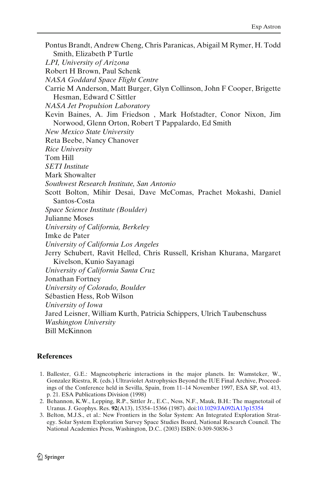<span id="page-35-0"></span>

| Pontus Brandt, Andrew Cheng, Chris Paranicas, Abigail M Rymer, H. Todd<br>Smith, Elizabeth P Turtle |
|-----------------------------------------------------------------------------------------------------|
| LPI, University of Arizona                                                                          |
| Robert H Brown, Paul Schenk                                                                         |
| <b>NASA Goddard Space Flight Centre</b>                                                             |
| Carrie M Anderson, Matt Burger, Glyn Collinson, John F Cooper, Brigette<br>Hesman, Edward C Sittler |
| NASA Jet Propulsion Laboratory                                                                      |
| Kevin Baines, A. Jim Friedson, Mark Hofstadter, Conor Nixon, Jim                                    |
| Norwood, Glenn Orton, Robert T Pappalardo, Ed Smith                                                 |
| <b>New Mexico State University</b>                                                                  |
| Reta Beebe, Nancy Chanover                                                                          |
| Rice University                                                                                     |
| Tom Hill                                                                                            |
| <b>SETI</b> Institute                                                                               |
| Mark Showalter                                                                                      |
| Southwest Research Institute, San Antonio                                                           |
| Scott Bolton, Mihir Desai, Dave McComas, Prachet Mokashi, Daniel                                    |
| Santos-Costa                                                                                        |
| Space Science Institute (Boulder)                                                                   |
| <b>Julianne Moses</b>                                                                               |
| University of California, Berkeley                                                                  |
| Imke de Pater                                                                                       |
| University of California Los Angeles                                                                |
| Jerry Schubert, Ravit Helled, Chris Russell, Krishan Khurana, Margaret                              |
| Kivelson, Kunio Sayanagi                                                                            |
| University of California Santa Cruz                                                                 |
| Jonathan Fortney                                                                                    |
| University of Colorado, Boulder                                                                     |
| Sébastien Hess, Rob Wilson                                                                          |
| University of Iowa                                                                                  |
| Jared Leisner, William Kurth, Patricia Schippers, Ulrich Taubenschuss                               |
| <b>Washington University</b>                                                                        |
| <b>Bill McKinnon</b>                                                                                |

# **References**

- 1. Ballester, G.E.: Magneotspheric interactions in the major planets. In: Wamsteker, W., Gonzalez Riestra, R. (eds.) Ultraviolet Astrophysics Beyond the IUE Final Archive, Proceedings of the Conference held in Sevilla, Spain, from 11–14 November 1997, ESA SP, vol. 413, p. 21. ESA Publications Division (1998)
- 2. Behannon, K.W., Lepping, R.P., Sittler Jr., E.C., Ness, N.F., Mauk, B.H.: The magnetotail of Uranus. J. Geophys. Res. **92**(A13), 15354–15366 (1987). doi[:10.1029/JA092iA13p15354](http://dx.doi.org/10.1029/JA092iA13p15354)
- 3. Belton, M.J.S., et al.: New Frontiers in the Solar System: An Integrated Exploration Strategy. Solar System Exploration Survey Space Studies Board, National Research Council. The National Academies Press, Washington, D.C.. (2003) ISBN: 0-309-50836-3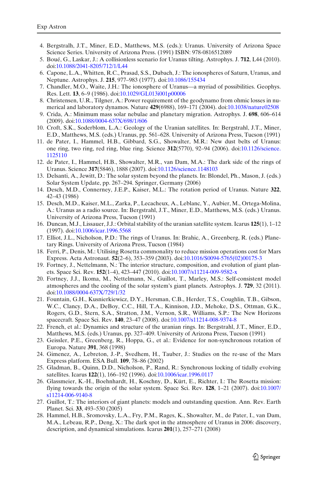- <span id="page-36-0"></span>4. Bergstralh, J.T., Miner, E.D., Matthews, M.S. (eds.): Uranus. University of Arizona Space Science Series. University of Arizona Press. (1991) ISBN: 978-0816512089
- 5. Boué, G., Laskar, J.: A collisionless scenario for Uranus tilting. Astrophys. J. **712**, L44 (2010). doi[:10.1088/2041-8205/712/1/L44](http://dx.doi.org/10.1088/2041-8205/712/1/L44)
- 6. Capone, L.A., Whitten, R.C., Prasad, S.S., Dubach, J.: The ionospheres of Saturn, Uranus, and Neptune. Astrophys. J. **215**, 977–983 (1977). doi[:10.1086/155434](http://dx.doi.org/10.1086/155434)
- 7. Chandler, M.O., Waite, J.H.: The ionosphere of Uranus—a myriad of possibilities. Geophys. Res. Lett. **13**, 6–9 (1986). doi[:10.1029/GL013i001p00006](http://dx.doi.org/10.1029/GL013i001p00006)
- 8. Christensen, U.R., Tilgner, A.: Power requirement of the geodynamo from ohmic losses in numerical and laboratory dynamos. Nature **429**(6988), 169–171 (2004). doi[:10.1038/nature02508](http://dx.doi.org/10.1038/nature02508)
- 9. Crida, A.: Minimum mass solar nebulae and planetary migration. Astrophys. J. **698**, 606–614 (2009). doi[:10.1088/0004-637X/698/1/606](http://dx.doi.org/10.1088/0004-637X/698/1/606)
- 10. Croft, S.K., Soderblom, L.A.: Geology of the Uranian satellites. In: Bergstrahl, J.T., Miner, E.D., Matthews, M.S. (eds.) Uranus, pp. 561–628. University of Arizona Press, Tucson (1991)
- 11. de Pater, I., Hammel, H.B., Gibbard, S.G., Showalter, M.R.: New dust belts of Uranus: one ring, two ring, red ring, blue ring. Science **312**(5770), 92–94 (2006). doi[:10.1126/science.](http://dx.doi.org/10.1126/science.1125110) [1125110](http://dx.doi.org/10.1126/science.1125110)
- 12. de Pater, I., Hammel, H.B., Showalter, M.R., van Dam, M.A.: The dark side of the rings of Uranus. Science **317**(5846), 1888 (2007). doi[:10.1126/science.1148103](http://dx.doi.org/10.1126/science.1148103)
- 13. Delsanti, A., Jewitt, D.: The solar system beyond the planets. In: Blondel, Ph., Mason, J. (eds.) Solar System Update, pp. 267–294. Springer, Germany (2006)
- 14. Desch, M.D., Connerney, J.E.P., Kaiser, M.L.: The rotation period of Uranus. Nature **322**, 42–43 (1986)
- 15. Desch, M.D., Kaiser, M.L., Zarka, P., Lecacheux, A., Leblanc, Y., Aubier, M., Ortega-Molina, A.: Uranus as a radio source. In: Bergstrahl, J.T., Miner, E.D., Matthews, M.S. (eds.) Uranus. University of Arizona Press, Tucson (1991)
- 16. Duncan, M.J., Lissauer, J.J.: Orbital stability of the uranian satellite system. Icarus **125**(1), 1–12 (1997). doi[:10.1006/icar.1996.5568](http://dx.doi.org/10.1006/icar.1996.5568)
- 17. Elliot, J.L., Nicholson, P.D.: The rings of Uranus. In: Brahic, A., Greenberg, R. (eds.) Planetary Rings. University of Arizona Press, Tucson (1984)
- 18. Ferri, P., Denis, M.: Utilising Rosetta commonality to reduce mission operations cost for Mars Express. Acta Astronaut. **52**(2–6), 353–359 (2003). doi[:10.1016/S0094-5765\(02\)00175-3](http://dx.doi.org/10.1016/S0094-5765(02)00175-3)
- 19. Fortney, J., Nettelmann, N.: The interior structure, composition, and evolution of giant planets. Space Sci. Rev. **152**(1–4), 423–447 (2010). doi[:10.1007/s11214-009-9582-x](http://dx.doi.org/10.1007/s11214-009-9582-x)
- 20. Fortney, J.J., Ikoma, M., Nettelmann, N., Guillot, T., Marley, M.S.: Self-consistent model atmospheres and the cooling of the solar system's giant planets. Astrophys. J. **729**, 32 (2011). doi[:10.1088/0004-637X/729/1/32](http://dx.doi.org/10.1088/0004-637X/729/1/32)
- 21. Fountain, G.H., Kusnierkiewicz, D.Y., Hersman, C.B., Herder, T.S., Coughlin, T.B., Gibson, W.C., Clancy, D.A., DeBoy, C.C., Hill, T.A., Kinnison, J.D., Mehoke, D.S., Ottman, G.K., Rogers, G.D., Stern, S.A., Stratton, J.M., Vernon, S.R., Williams, S.P.: The New Horizons spacecraft. Space Sci. Rev. **140**, 23–47 (2008). doi[:10.1007/s11214-008-9374-8](http://dx.doi.org/10.1007/s11214-008-9374-8)
- 22. French, et al.: Dynamics and structure of the uranian rings. In: Bergstrahl, J.T., Miner, E.D., Matthews, M.S. (eds.) Uranus, pp. 327–409. University of Arizona Press, Tucson (1991)
- 23. Geissler, P.E., Greenberg, R., Hoppa, G., et al.: Evidence for non-synchronous rotation of Europa. Nature **391**, 368 (1998)
- 24. Gimenez, A., Lebreton, J.-P., Svedhem, H., Tauber, J.: Studies on the re-use of the Mars Express platform. ESA Bull. **109**, 78–86 (2002)
- 25. Gladman, B., Quinn, D.D., Nicholson, P., Rand, R.: Synchronous locking of tidally evolving satellites. Icarus **122**(1), 166–192 (1996). doi[:10.1006/icar.1996.0117](http://dx.doi.org/10.1006/icar.1996.0117)
- 26. Glassmeier, K.-H., Boehnhardt, H., Koschny, D., Kürt, E., Richter, I.: The Rosetta mission: flying towards the origin of the solar system. Space Sci. Rev. **128**, 1–21 (2007). doi[:10.1007/](http://dx.doi.org/10.1007/s11214-006-9140-8) [s11214-006-9140-8](http://dx.doi.org/10.1007/s11214-006-9140-8)
- 27. Guillot, T.: The interiors of giant planets: models and outstanding question. Ann. Rev. Earth Planet. Sci. **33**, 493–530 (2005)
- 28. Hammel, H.B., Sromovsky, L.A., Fry, P.M., Rages, K., Showalter, M., de Pater, I., van Dam, M.A., Lebeau, R.P., Deng, X.: The dark spot in the atmosphere of Uranus in 2006: discovery, description, and dynamical simulations. Icarus **201**(1), 257–271 (2008)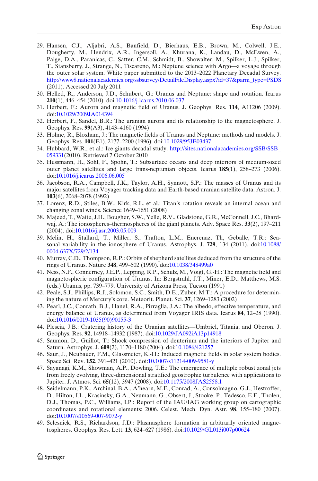- <span id="page-37-0"></span>29. Hansen, C.J., Aljabri, A.S., Banfield, D., Bierhaus, E.B., Brown, M., Colwell, J.E., Dougherty, M., Hendrix, A.R., Ingersoll, A., Khurana, K., Landau, D., McEwen, A., Paige, D.A., Paranicas, C., Satter, C.M., Schmidt, B., Showalter, M., Spilker, L.J., Spilker, T., Stansberry, J., Strange, N., Tiscareno, M.: Neptune science with Argo—a voyage through the outer solar system. White paper submitted to the 2013–2022 Planetary Decadal Survey. [http://www8.nationalacademies.org/ssbsurvey/DetailFileDisplay.aspx?id=37&parm\\_type=PSDS](http://www8.nationalacademies.org/ssbsurvey/DetailFileDisplay.aspx?id=37&parm_type=PSDS) (2011). Accessed 20 July 2011
- 30. Helled, R., Anderson, J.D., Schubert, G.: Uranus and Neptune: shape and rotation. Icarus **210**(1), 446–454 (2010). doi[:10.1016/j.icarus.2010.06.037](http://dx.doi.org/10.1016/j.icarus.2010.06.037)
- 31. Herbert, F.: Aurora and magnetic field of Uranus. J. Geophys. Res. **114**, A11206 (2009). doi[:10.1029/2009JA014394](http://dx.doi.org/10.1029/2009JA014394)
- 32. Herbert, F., Sandel, B.R.: The uranian aurora and its relationship to the magnetosphere. J. Geophys. Res. **99**(A3), 4143–4160 (1994)
- 33. Holme, R., Bloxham, J.: The magnetic fields of Uranus and Neptune: methods and models. J. Geophys. Res. **101**(E1), 2177–2200 (1996). doi[:10.1029/95JE03437](http://dx.doi.org/10.1029/95JE03437)
- 34. Hubbard, W.R., et al.: Ice giants decadal study. [http://sites.nationalacademies.org/SSB/SSB\\_](http://sites.nationalacademies.org/SSB/SSB_059331) [059331\(](http://sites.nationalacademies.org/SSB/SSB_059331)2010). Retrieved 7 October 2010
- 35. Hussmann, H., Sohl, F., Spohn, T.: Subsurface oceans and deep interiors of medium-sized outer planet satellites and large trans-neptunian objects. Icarus **185**(1), 258–273 (2006). doi[:10.1016/j.icarus.2006.06.005](http://dx.doi.org/10.1016/j.icarus.2006.06.005)
- 36. Jacobson, R.A., Campbell, J.K., Taylor, A.H., Synnott, S.P.: The masses of Uranus and its major satellites from Voyager tracking data and Earth-based uranian satellite data. Astron. J. **103**(6), 2068–2078 (1992)
- 37. Lorenz, R.D., Stiles, B.W., Kirk, R.L. et al.: Titan's rotation reveals an internal ocean and changing zonal winds. Science 1649–1651 (2008)
- 38. Majeed, T., Waite, J.H., Bougher, S.W., Yelle, R.V., Gladstone, G.R., McConnell, J.C., Bhardwaj, A.: The ionospheres–thermospheres of the giant planets. Adv. Space Res. **33**(2), 197–211 (2004). doi[:10.1016/j.asr.2003.05.009](http://dx.doi.org/10.1016/j.asr.2003.05.009)
- 39. Melin, H., Stallard, T., Miller, S., Trafton, L.M., Encrenaz, Th, Geballe, T.R.: Seasonal variability in the ionosphere of Uranus. Astrophys. J. **729**, 134 (2011). doi[:10.1088/](http://dx.doi.org/10.1088/0004-637X/729/2/134) [0004-637X/729/2/134](http://dx.doi.org/10.1088/0004-637X/729/2/134)
- 40. Murray, C.D., Thompson, R.P.: Orbits of shepherd satellites deduced from the structure of the rings of Uranus. Nature **348**, 499–502 (1990). doi[:10.1038/348499a0](http://dx.doi.org/10.1038/348499a0)
- 41. Ness, N.F., Connerney, J.E.P., Lepping, R.P., Schulz, M., Voigt, G.-H.: The magnetic field and magnetospheric configuration of Uranus. In: Bergstrahl, J.T., Miner, E.D., Matthews, M.S. (eds.) Uranus, pp. 739–779. University of Arizona Press, Tucson (1991)
- 42. Peale, S.J., Phillips, R.J., Solomon, S.C., Smith, D.E., Zuber, M.T.: A procedure for determining the nature of Mercury's core. Meteorit. Planet. Sci. **37**, 1269–1283 (2002)
- 43. Pearl, J.C., Conrath, B.J., Hanel, R.A., Pirraglia, J.A.: The albedo, effective temperature, and energy balance of Uranus, as determined from Voyager IRIS data. Icarus **84**, 12–28 (1990). doi[:10.1016/0019-1035\(90\)90155-3](http://dx.doi.org/10.1016/0019-1035(90)90155-3)
- 44. Plescia, J.B.: Cratering history of the Uranian satellites—Umbriel, Titania, and Oberon. J. Geophys. Res. **92**, 14918–14932 (1987). doi[:10.1029/JA092iA13p14918](http://dx.doi.org/10.1029/JA092iA13p14918)
- 45. Saumon, D., Guillot, T.: Shock compression of deuterium and the interiors of Jupiter and Saturn. Astrophys. J. **609**(2), 1170–1180 (2004). doi[:10.1086/421257](http://dx.doi.org/10.1086/421257)
- 46. Saur, J., Neubauer, F.M., Glassmeier, K.-H.: Induced magnetic fields in solar system bodies. Space Sci. Rev. **152**, 391–421 (2010). doi[:10.1007/s11214-009-9581-y](http://dx.doi.org/10.1007/s11214-009-9581-y)
- 47. Sayanagi, K.M., Showman, A.P., Dowling, T.E.: The emergence of multiple robust zonal jets from freely evolving, three-dimensional stratified geostrophic turbulence with applications to Jupiter. J. Atmos. Sci. **65**(12), 3947 (2008). doi[:10.1175/2008JAS2558.1](http://dx.doi.org/10.1175/2008JAS2558.1)
- 48. Seidelmann, P.K., Archinal, B.A., A'hearn, M.F., Conrad, A., Consolmagno, G.J., Hestroffer, D., Hilton, J.L., Krasinsky, G.A., Neumann, G., Obsert, J., Stooke, P., Tedesco, E.F., Tholen, D.J., Thomas, P.C., Williams, I.P.: Report of the IAU/IAG working group on cartographic coordinates and rotational elements: 2006. Celest. Mech. Dyn. Astr. **98**, 155–180 (2007). doi[:10.1007/s10569-007-9072-y](http://dx.doi.org/10.1007/s10569-007-9072-y)
- 49. Selesnick, R.S., Richardson, J.D.: Plasmasphere formation in arbitrarily oriented magnetospheres. Geophys. Res. Lett. **13**, 624–627 (1986). doi[:10.1029/GL013i007p00624](http://dx.doi.org/10.1029/GL013i007p00624)